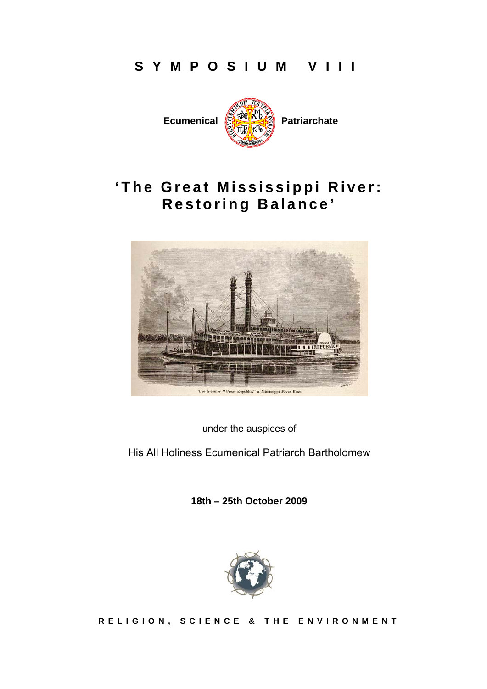# **SYMPOSIUM VIII**



# **'The Great Mississippi River: Restoring Balance'**



under the auspices of

His All Holiness Ecumenical Patriarch Bartholomew

**18th – 25th October 2009** 



**RELIGION, SCIENCE & THE ENVIRONMENT**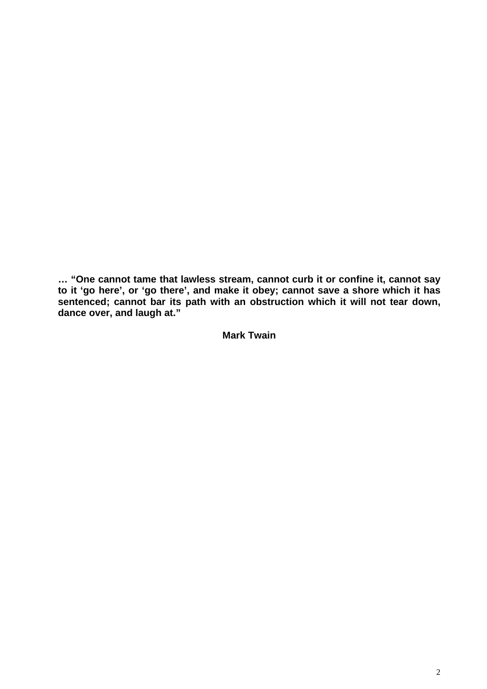**… "One cannot tame that lawless stream, cannot curb it or confine it, cannot say to it 'go here', or 'go there', and make it obey; cannot save a shore which it has sentenced; cannot bar its path with an obstruction which it will not tear down, dance over, and laugh at."** 

**Mark Twain**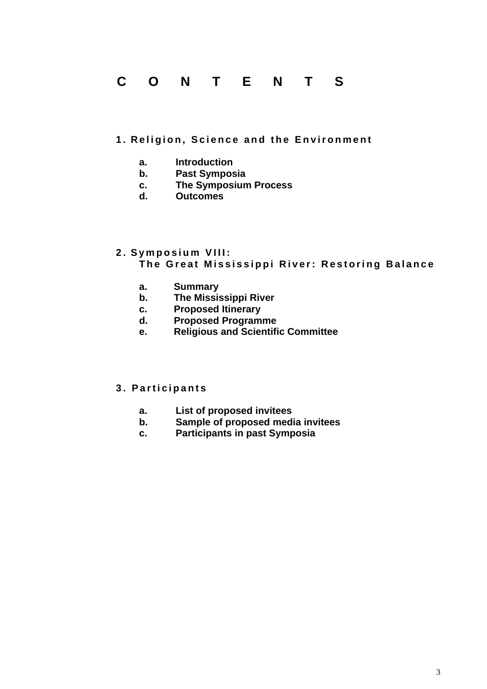# **CONTENTS**

#### **1. Religion, Science and the Environment**

- **a. Introduction**
- **b. Past Symposia**
- **c. The Symposium Process**
- **d. Outcomes**

#### **2. Symposium VIII: The Great Mississippi River: Restoring Balance**

- **a. Summary**
- **b. The Mississippi River**
- **c. Proposed Itinerary**
- **d. Proposed Programme**
- **e. Religious and Scientific Committee**

#### **3. Participants**

- **a. List of proposed invitees**
- **b. Sample of proposed media invitees**
- **c. Participants in past Symposia**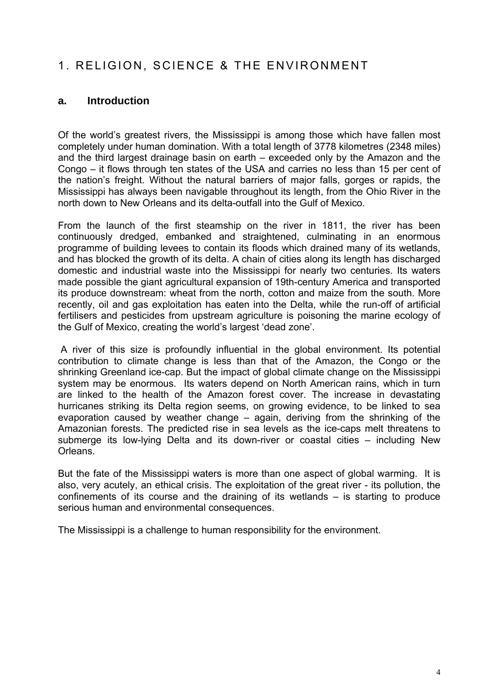# 1. RELIGION, SCIENCE & THE ENVIRONMENT

## **a. Introduction**

Of the world's greatest rivers, the Mississippi is among those which have fallen most completely under human domination. With a total length of 3778 kilometres (2348 miles) and the third largest drainage basin on earth – exceeded only by the Amazon and the Congo – it flows through ten states of the USA and carries no less than 15 per cent of the nation's freight. Without the natural barriers of major falls, gorges or rapids, the Mississippi has always been navigable throughout its length, from the Ohio River in the north down to New Orleans and its delta-outfall into the Gulf of Mexico.

From the launch of the first steamship on the river in 1811, the river has been continuously dredged, embanked and straightened, culminating in an enormous programme of building levees to contain its floods which drained many of its wetlands, and has blocked the growth of its delta. A chain of cities along its length has discharged domestic and industrial waste into the Mississippi for nearly two centuries. Its waters made possible the giant agricultural expansion of 19th-century America and transported its produce downstream: wheat from the north, cotton and maize from the south. More recently, oil and gas exploitation has eaten into the Delta, while the run-off of artificial fertilisers and pesticides from upstream agriculture is poisoning the marine ecology of the Gulf of Mexico, creating the world's largest 'dead zone'.

 A river of this size is profoundly influential in the global environment. Its potential contribution to climate change is less than that of the Amazon, the Congo or the shrinking Greenland ice-cap. But the impact of global climate change on the Mississippi system may be enormous. Its waters depend on North American rains, which in turn are linked to the health of the Amazon forest cover. The increase in devastating hurricanes striking its Delta region seems, on growing evidence, to be linked to sea evaporation caused by weather change – again, deriving from the shrinking of the Amazonian forests. The predicted rise in sea levels as the ice-caps melt threatens to submerge its low-lying Delta and its down-river or coastal cities – including New Orleans.

But the fate of the Mississippi waters is more than one aspect of global warming. It is also, very acutely, an ethical crisis. The exploitation of the great river - its pollution, the confinements of its course and the draining of its wetlands – is starting to produce serious human and environmental consequences.

The Mississippi is a challenge to human responsibility for the environment.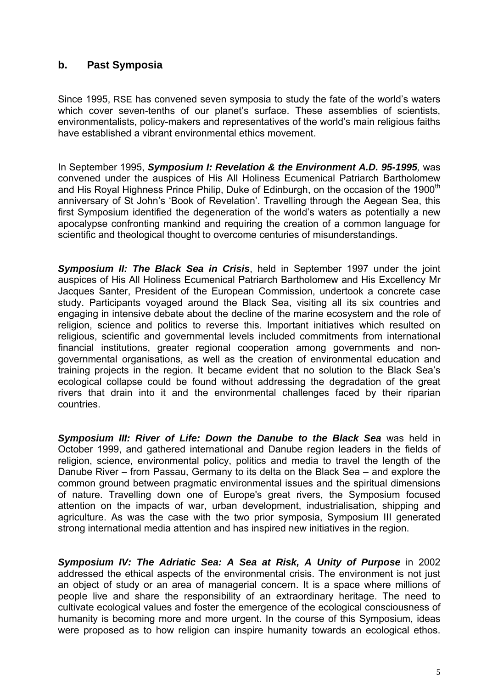## **b. Past Symposia**

Since 1995, RSE has convened seven symposia to study the fate of the world's waters which cover seven-tenths of our planet's surface. These assemblies of scientists, environmentalists, policy-makers and representatives of the world's main religious faiths have established a vibrant environmental ethics movement.

In September 1995, *Symposium I: Revelation & the Environment A.D. 95-1995,* was convened under the auspices of His All Holiness Ecumenical Patriarch Bartholomew and His Royal Highness Prince Philip, Duke of Edinburgh, on the occasion of the 1900<sup>th</sup> anniversary of St John's 'Book of Revelation'. Travelling through the Aegean Sea, this first Symposium identified the degeneration of the world's waters as potentially a new apocalypse confronting mankind and requiring the creation of a common language for scientific and theological thought to overcome centuries of misunderstandings.

*Symposium II: The Black Sea in Crisis*, held in September 1997 under the joint auspices of His All Holiness Ecumenical Patriarch Bartholomew and His Excellency Mr Jacques Santer, President of the European Commission, undertook a concrete case study. Participants voyaged around the Black Sea, visiting all its six countries and engaging in intensive debate about the decline of the marine ecosystem and the role of religion, science and politics to reverse this. Important initiatives which resulted on religious, scientific and governmental levels included commitments from international financial institutions, greater regional cooperation among governments and nongovernmental organisations, as well as the creation of environmental education and training projects in the region. It became evident that no solution to the Black Sea's ecological collapse could be found without addressing the degradation of the great rivers that drain into it and the environmental challenges faced by their riparian countries.

*Symposium III: River of Life: Down the Danube to the Black Sea* was held in October 1999, and gathered international and Danube region leaders in the fields of religion, science, environmental policy, politics and media to travel the length of the Danube River – from Passau, Germany to its delta on the Black Sea – and explore the common ground between pragmatic environmental issues and the spiritual dimensions of nature. Travelling down one of Europe's great rivers, the Symposium focused attention on the impacts of war, urban development, industrialisation, shipping and agriculture. As was the case with the two prior symposia, Symposium III generated strong international media attention and has inspired new initiatives in the region.

*Symposium IV: The Adriatic Sea: A Sea at Risk, A Unity of Purpose* in 2002 addressed the ethical aspects of the environmental crisis. The environment is not just an object of study or an area of managerial concern. It is a space where millions of people live and share the responsibility of an extraordinary heritage. The need to cultivate ecological values and foster the emergence of the ecological consciousness of humanity is becoming more and more urgent. In the course of this Symposium, ideas were proposed as to how religion can inspire humanity towards an ecological ethos.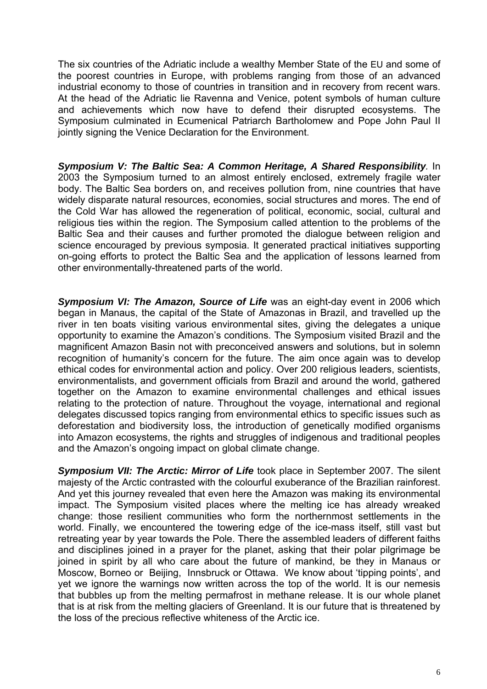The six countries of the Adriatic include a wealthy Member State of the EU and some of the poorest countries in Europe, with problems ranging from those of an advanced industrial economy to those of countries in transition and in recovery from recent wars. At the head of the Adriatic lie Ravenna and Venice, potent symbols of human culture and achievements which now have to defend their disrupted ecosystems. The Symposium culminated in Ecumenical Patriarch Bartholomew and Pope John Paul II jointly signing the Venice Declaration for the Environment.

*Symposium V: The Baltic Sea: A Common Heritage, A Shared Responsibility.* In 2003 the Symposium turned to an almost entirely enclosed, extremely fragile water body. The Baltic Sea borders on, and receives pollution from, nine countries that have widely disparate natural resources, economies, social structures and mores. The end of the Cold War has allowed the regeneration of political, economic, social, cultural and religious ties within the region. The Symposium called attention to the problems of the Baltic Sea and their causes and further promoted the dialogue between religion and science encouraged by previous symposia. It generated practical initiatives supporting on-going efforts to protect the Baltic Sea and the application of lessons learned from other environmentally-threatened parts of the world.

**Symposium VI: The Amazon, Source of Life** was an eight-day event in 2006 which began in Manaus, the capital of the State of Amazonas in Brazil, and travelled up the river in ten boats visiting various environmental sites, giving the delegates a unique opportunity to examine the Amazon's conditions. The Symposium visited Brazil and the magnificent Amazon Basin not with preconceived answers and solutions, but in solemn recognition of humanity's concern for the future. The aim once again was to develop ethical codes for environmental action and policy. Over 200 religious leaders, scientists, environmentalists, and government officials from Brazil and around the world, gathered together on the Amazon to examine environmental challenges and ethical issues relating to the protection of nature. Throughout the voyage, international and regional delegates discussed topics ranging from environmental ethics to specific issues such as deforestation and biodiversity loss, the introduction of genetically modified organisms into Amazon ecosystems, the rights and struggles of indigenous and traditional peoples and the Amazon's ongoing impact on global climate change.

*Symposium VII: The Arctic: Mirror of Life* took place in September 2007. The silent majesty of the Arctic contrasted with the colourful exuberance of the Brazilian rainforest. And yet this journey revealed that even here the Amazon was making its environmental impact. The Symposium visited places where the melting ice has already wreaked change: those resilient communities who form the northernmost settlements in the world. Finally, we encountered the towering edge of the ice-mass itself, still vast but retreating year by year towards the Pole. There the assembled leaders of different faiths and disciplines joined in a prayer for the planet, asking that their polar pilgrimage be joined in spirit by all who care about the future of mankind, be they in Manaus or Moscow, Borneo or Beijing, Innsbruck or Ottawa. We know about 'tipping points', and yet we ignore the warnings now written across the top of the world. It is our nemesis that bubbles up from the melting permafrost in methane release. It is our whole planet that is at risk from the melting glaciers of Greenland. It is our future that is threatened by the loss of the precious reflective whiteness of the Arctic ice.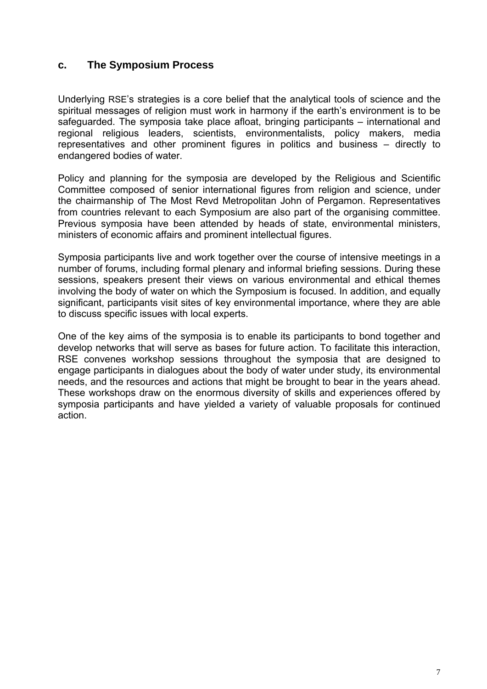### **c. The Symposium Process**

Underlying RSE's strategies is a core belief that the analytical tools of science and the spiritual messages of religion must work in harmony if the earth's environment is to be safeguarded. The symposia take place afloat, bringing participants – international and regional religious leaders, scientists, environmentalists, policy makers, media representatives and other prominent figures in politics and business – directly to endangered bodies of water.

Policy and planning for the symposia are developed by the Religious and Scientific Committee composed of senior international figures from religion and science, under the chairmanship of The Most Revd Metropolitan John of Pergamon. Representatives from countries relevant to each Symposium are also part of the organising committee. Previous symposia have been attended by heads of state, environmental ministers, ministers of economic affairs and prominent intellectual figures.

Symposia participants live and work together over the course of intensive meetings in a number of forums, including formal plenary and informal briefing sessions. During these sessions, speakers present their views on various environmental and ethical themes involving the body of water on which the Symposium is focused. In addition, and equally significant, participants visit sites of key environmental importance, where they are able to discuss specific issues with local experts.

One of the key aims of the symposia is to enable its participants to bond together and develop networks that will serve as bases for future action. To facilitate this interaction, RSE convenes workshop sessions throughout the symposia that are designed to engage participants in dialogues about the body of water under study, its environmental needs, and the resources and actions that might be brought to bear in the years ahead. These workshops draw on the enormous diversity of skills and experiences offered by symposia participants and have yielded a variety of valuable proposals for continued action.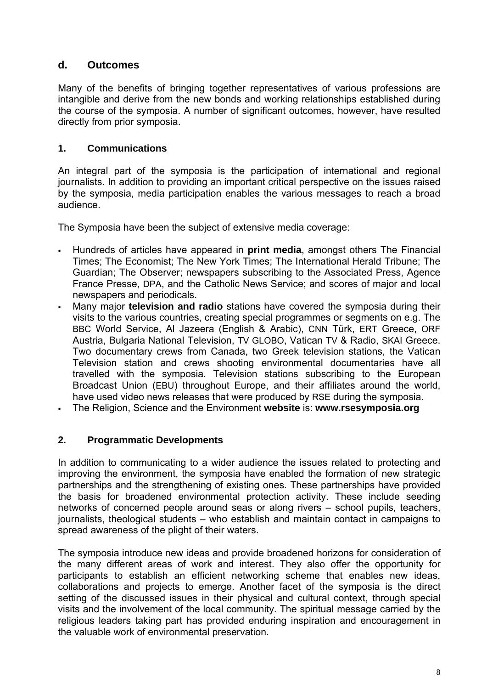## **d. Outcomes**

Many of the benefits of bringing together representatives of various professions are intangible and derive from the new bonds and working relationships established during the course of the symposia. A number of significant outcomes, however, have resulted directly from prior symposia.

### **1. Communications**

An integral part of the symposia is the participation of international and regional journalists. In addition to providing an important critical perspective on the issues raised by the symposia, media participation enables the various messages to reach a broad audience.

The Symposia have been the subject of extensive media coverage:

- Hundreds of articles have appeared in **print media**, amongst others The Financial Times; The Economist; The New York Times; The International Herald Tribune; The Guardian; The Observer; newspapers subscribing to the Associated Press, Agence France Presse, DPA, and the Catholic News Service; and scores of major and local newspapers and periodicals.
- Many major **television and radio** stations have covered the symposia during their visits to the various countries, creating special programmes or segments on e.g. The BBC World Service, Al Jazeera (English & Arabic), CNN Türk, ERT Greece, ORF Austria, Bulgaria National Television, TV GLOBO, Vatican TV & Radio, SKAI Greece. Two documentary crews from Canada, two Greek television stations, the Vatican Television station and crews shooting environmental documentaries have all travelled with the symposia. Television stations subscribing to the European Broadcast Union (EBU) throughout Europe, and their affiliates around the world, have used video news releases that were produced by RSE during the symposia.
- The Religion, Science and the Environment **website** is: **www.rsesymposia.org**

### **2. Programmatic Developments**

In addition to communicating to a wider audience the issues related to protecting and improving the environment, the symposia have enabled the formation of new strategic partnerships and the strengthening of existing ones. These partnerships have provided the basis for broadened environmental protection activity. These include seeding networks of concerned people around seas or along rivers – school pupils, teachers, journalists, theological students – who establish and maintain contact in campaigns to spread awareness of the plight of their waters.

The symposia introduce new ideas and provide broadened horizons for consideration of the many different areas of work and interest. They also offer the opportunity for participants to establish an efficient networking scheme that enables new ideas, collaborations and projects to emerge. Another facet of the symposia is the direct setting of the discussed issues in their physical and cultural context, through special visits and the involvement of the local community. The spiritual message carried by the religious leaders taking part has provided enduring inspiration and encouragement in the valuable work of environmental preservation.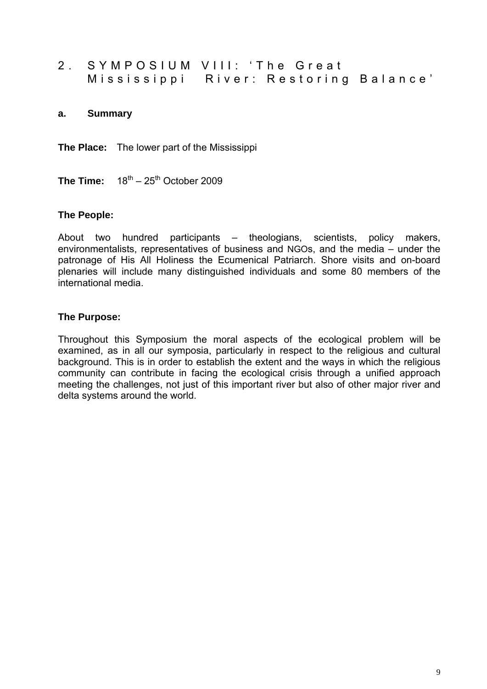2. SYMPOSIUM VIII: 'The Great Mississippi River: Restoring Balance'

#### **a. Summary**

**The Place:** The lower part of the Mississippi

**The Time:**  $18^{th} - 25^{th}$  October 2009

#### **The People:**

About two hundred participants – theologians, scientists, policy makers, environmentalists, representatives of business and NGOs, and the media – under the patronage of His All Holiness the Ecumenical Patriarch. Shore visits and on-board plenaries will include many distinguished individuals and some 80 members of the international media.

#### **The Purpose:**

Throughout this Symposium the moral aspects of the ecological problem will be examined, as in all our symposia, particularly in respect to the religious and cultural background. This is in order to establish the extent and the ways in which the religious community can contribute in facing the ecological crisis through a unified approach meeting the challenges, not just of this important river but also of other major river and delta systems around the world.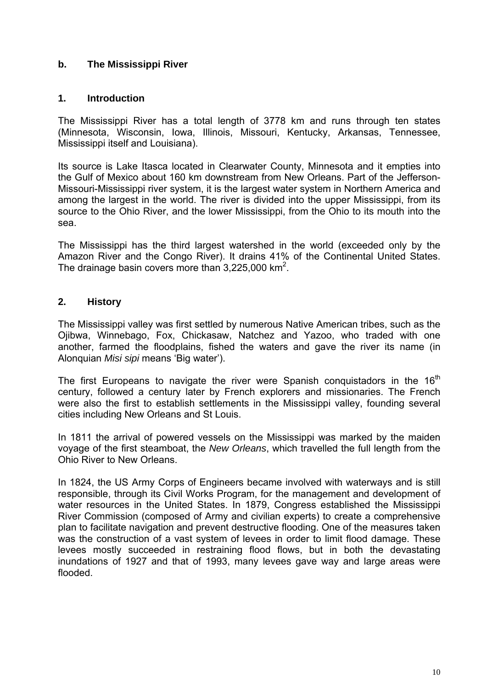### **b. The Mississippi River**

### **1. Introduction**

The Mississippi River has a total length of 3778 km and runs through ten states (Minnesota, Wisconsin, Iowa, Illinois, Missouri, Kentucky, Arkansas, Tennessee, Mississippi itself and Louisiana).

Its source is Lake Itasca located in Clearwater County, Minnesota and it empties into the Gulf of Mexico about 160 km downstream from New Orleans. Part of the Jefferson-Missouri-Mississippi river system, it is the largest water system in Northern America and among the largest in the world. The river is divided into the upper Mississippi, from its source to the Ohio River, and the lower Mississippi, from the Ohio to its mouth into the sea.

The Mississippi has the third largest watershed in the world (exceeded only by the Amazon River and the Congo River). It drains 41% of the Continental United States. The drainage basin covers more than  $3,225,000$  km<sup>2</sup>.

#### **2. History**

The Mississippi valley was first settled by numerous Native American tribes, such as the Ojibwa, Winnebago, Fox, Chickasaw, Natchez and Yazoo, who traded with one another, farmed the floodplains, fished the waters and gave the river its name (in Alonquian *Misi sipi* means 'Big water').

The first Europeans to navigate the river were Spanish conquistadors in the  $16<sup>th</sup>$ century, followed a century later by French explorers and missionaries. The French were also the first to establish settlements in the Mississippi valley, founding several cities including New Orleans and St Louis.

In 1811 the arrival of powered vessels on the Mississippi was marked by the maiden voyage of the first steamboat, the *New Orleans*, which travelled the full length from the Ohio River to New Orleans.

In 1824, the US Army Corps of Engineers became involved with waterways and is still responsible, through its Civil Works Program, for the management and development of water resources in the United States. In 1879, Congress established the Mississippi River Commission (composed of Army and civilian experts) to create a comprehensive plan to facilitate navigation and prevent destructive flooding. One of the measures taken was the construction of a vast system of levees in order to limit flood damage. These levees mostly succeeded in restraining flood flows, but in both the devastating inundations of 1927 and that of 1993, many levees gave way and large areas were flooded.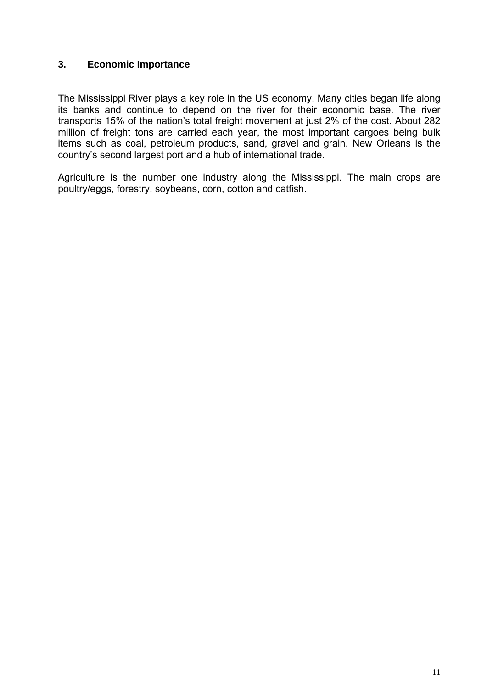#### **3. Economic Importance**

The Mississippi River plays a key role in the US economy. Many cities began life along its banks and continue to depend on the river for their economic base. The river transports 15% of the nation's total freight movement at just 2% of the cost. About 282 million of freight tons are carried each year, the most important cargoes being bulk items such as coal, petroleum products, sand, gravel and grain. New Orleans is the country's second largest port and a hub of international trade.

Agriculture is the number one industry along the Mississippi. The main crops are poultry/eggs, forestry, soybeans, corn, cotton and catfish.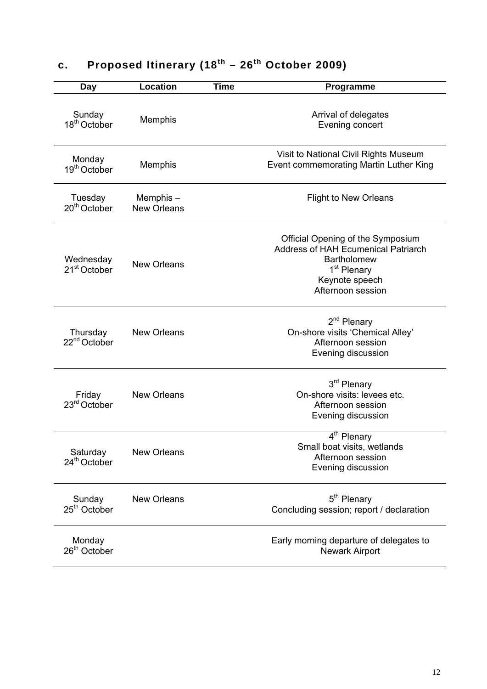| Day                                   | Location                       | <b>Time</b> | Programme                                                                                                                                                               |
|---------------------------------------|--------------------------------|-------------|-------------------------------------------------------------------------------------------------------------------------------------------------------------------------|
| Sunday<br>18 <sup>th</sup> October    | Memphis                        |             | Arrival of delegates<br>Evening concert                                                                                                                                 |
| Monday<br>19 <sup>th</sup> October    | Memphis                        |             | Visit to National Civil Rights Museum<br>Event commemorating Martin Luther King                                                                                         |
| Tuesday<br>$20th$ October             | Memphis-<br><b>New Orleans</b> |             | <b>Flight to New Orleans</b>                                                                                                                                            |
| Wednesday<br>21 <sup>st</sup> October | <b>New Orleans</b>             |             | Official Opening of the Symposium<br><b>Address of HAH Ecumenical Patriarch</b><br><b>Bartholomew</b><br>1 <sup>st</sup> Plenary<br>Keynote speech<br>Afternoon session |
| Thursday<br>22 <sup>nd</sup> October  | <b>New Orleans</b>             |             | 2 <sup>nd</sup> Plenary<br>On-shore visits 'Chemical Alley'<br>Afternoon session<br>Evening discussion                                                                  |
| Friday<br>23 <sup>rd</sup> October    | <b>New Orleans</b>             |             | 3 <sup>rd</sup> Plenary<br>On-shore visits: levees etc.<br>Afternoon session<br>Evening discussion                                                                      |
| Saturday<br>24 <sup>th</sup> October  | <b>New Orleans</b>             |             | 4 <sup>th</sup> Plenary<br>Small boat visits, wetlands<br>Afternoon session<br>Evening discussion                                                                       |
| Sunday<br>25 <sup>th</sup> October    | New Orleans                    |             | 5 <sup>th</sup> Plenary<br>Concluding session; report / declaration                                                                                                     |
| Monday<br>$26th$ October              |                                |             | Early morning departure of delegates to<br><b>Newark Airport</b>                                                                                                        |

# **c. Proposed Itinerary (18th – 26th October 2009)**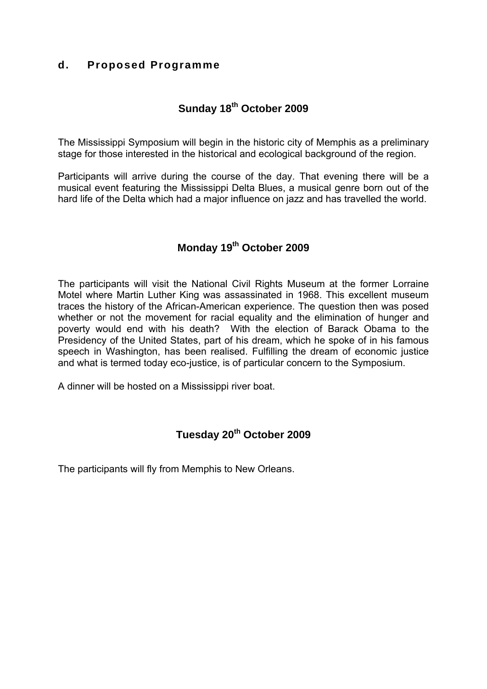## **d. Proposed Programme**

# **Sunday 18th October 2009**

The Mississippi Symposium will begin in the historic city of Memphis as a preliminary stage for those interested in the historical and ecological background of the region.

Participants will arrive during the course of the day. That evening there will be a musical event featuring the Mississippi Delta Blues, a musical genre born out of the hard life of the Delta which had a major influence on jazz and has travelled the world.

## **Monday 19th October 2009**

The participants will visit the National Civil Rights Museum at the former Lorraine Motel where Martin Luther King was assassinated in 1968. This excellent museum traces the history of the African-American experience. The question then was posed whether or not the movement for racial equality and the elimination of hunger and poverty would end with his death? With the election of Barack Obama to the Presidency of the United States, part of his dream, which he spoke of in his famous speech in Washington, has been realised. Fulfilling the dream of economic justice and what is termed today eco-justice, is of particular concern to the Symposium.

A dinner will be hosted on a Mississippi river boat.

## **Tuesday 20th October 2009**

The participants will fly from Memphis to New Orleans.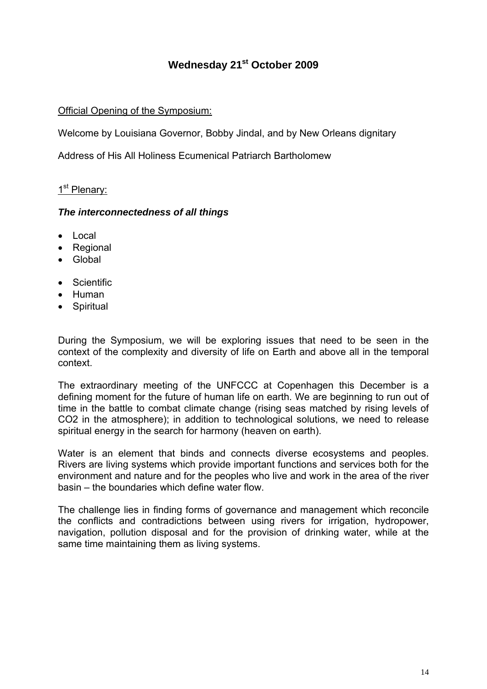# **Wednesday 21st October 2009**

Official Opening of the Symposium:

Welcome by Louisiana Governor, Bobby Jindal, and by New Orleans dignitary

Address of His All Holiness Ecumenical Patriarch Bartholomew

### 1<sup>st</sup> Plenary:

#### *The interconnectedness of all things*

- Local
- Regional
- Global
- Scientific
- Human
- Spiritual

During the Symposium, we will be exploring issues that need to be seen in the context of the complexity and diversity of life on Earth and above all in the temporal context.

The extraordinary meeting of the UNFCCC at Copenhagen this December is a defining moment for the future of human life on earth. We are beginning to run out of time in the battle to combat climate change (rising seas matched by rising levels of CO2 in the atmosphere); in addition to technological solutions, we need to release spiritual energy in the search for harmony (heaven on earth).

Water is an element that binds and connects diverse ecosystems and peoples. Rivers are living systems which provide important functions and services both for the environment and nature and for the peoples who live and work in the area of the river basin – the boundaries which define water flow.

The challenge lies in finding forms of governance and management which reconcile the conflicts and contradictions between using rivers for irrigation, hydropower, navigation, pollution disposal and for the provision of drinking water, while at the same time maintaining them as living systems.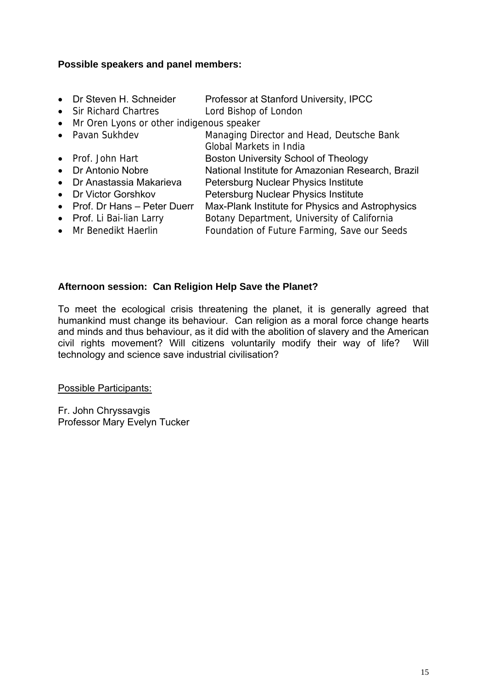#### **Possible speakers and panel members:**

- Dr Steven H. Schneider Professor at Stanford University, IPCC
- Sir Richard Chartres Lord Bishop of London
- Mr Oren Lyons or other indigenous speaker
- Pavan Sukhdev Managing Director and Head, Deutsche Bank Global Markets in India
- Prof. John Hart **Boston University School of Theology**
- Dr Antonio Nobre National Institute for Amazonian Research, Brazil
- Dr Anastassia Makarieva Petersburg Nuclear Physics Institute
- Dr Victor Gorshkov Petersburg Nuclear Physics Institute
- Prof. Dr Hans Peter Duerr Max-Plank Institute for Physics and Astrophysics
- Prof. Li Bai-lian Larry Botany Department, University of California
- Mr Benedikt Haerlin Foundation of Future Farming, Save our Seeds

#### **Afternoon session: Can Religion Help Save the Planet?**

To meet the ecological crisis threatening the planet, it is generally agreed that humankind must change its behaviour. Can religion as a moral force change hearts and minds and thus behaviour, as it did with the abolition of slavery and the American civil rights movement? Will citizens voluntarily modify their way of life? Will technology and science save industrial civilisation?

Possible Participants:

Fr. John Chryssavgis Professor Mary Evelyn Tucker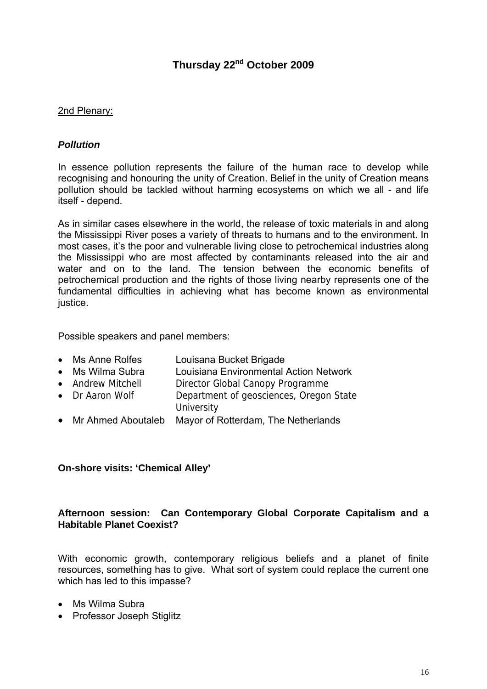## **Thursday 22nd October 2009**

#### 2nd Plenary:

#### *Pollution*

In essence pollution represents the failure of the human race to develop while recognising and honouring the unity of Creation. Belief in the unity of Creation means pollution should be tackled without harming ecosystems on which we all - and life itself - depend.

As in similar cases elsewhere in the world, the release of toxic materials in and along the Mississippi River poses a variety of threats to humans and to the environment. In most cases, it's the poor and vulnerable living close to petrochemical industries along the Mississippi who are most affected by contaminants released into the air and water and on to the land. The tension between the economic benefits of petrochemical production and the rights of those living nearby represents one of the fundamental difficulties in achieving what has become known as environmental justice.

Possible speakers and panel members:

- Ms Anne Rolfes Louisana Bucket Brigade
- Ms Wilma Subra Louisiana Environmental Action Network
- Andrew Mitchell Director Global Canopy Programme
- Dr Aaron Wolf Department of geosciences, Oregon State
	- **University**
- Mr Ahmed Aboutaleb Mayor of Rotterdam, The Netherlands

#### **On-shore visits: 'Chemical Alley'**

#### **Afternoon session: Can Contemporary Global Corporate Capitalism and a Habitable Planet Coexist?**

With economic growth, contemporary religious beliefs and a planet of finite resources, something has to give. What sort of system could replace the current one which has led to this impasse?

- Ms Wilma Subra
- Professor Joseph Stiglitz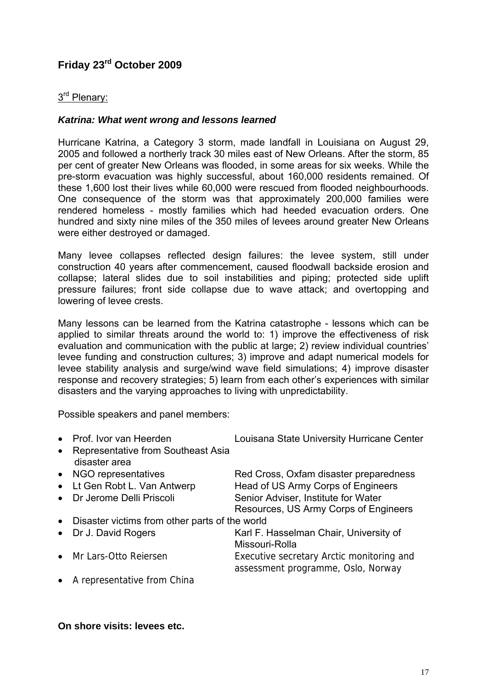# **Friday 23rd October 2009**

#### 3rd Plenary:

#### *Katrina: What went wrong and lessons learned*

Hurricane Katrina, a Category 3 storm, made landfall in Louisiana on August 29, 2005 and followed a northerly track 30 miles east of New Orleans. After the storm, 85 per cent of greater New Orleans was flooded, in some areas for six weeks. While the pre-storm evacuation was highly successful, about 160,000 residents remained. Of these 1,600 lost their lives while 60,000 were rescued from flooded neighbourhoods. One consequence of the storm was that approximately 200,000 families were rendered homeless - mostly families which had heeded evacuation orders. One hundred and sixty nine miles of the 350 miles of levees around greater New Orleans were either destroyed or damaged.

Many levee collapses reflected design failures: the levee system, still under construction 40 years after commencement, caused floodwall backside erosion and collapse; lateral slides due to soil instabilities and piping; protected side uplift pressure failures; front side collapse due to wave attack; and overtopping and lowering of levee crests.

Many lessons can be learned from the Katrina catastrophe - lessons which can be applied to similar threats around the world to: 1) improve the effectiveness of risk evaluation and communication with the public at large; 2) review individual countries' levee funding and construction cultures; 3) improve and adapt numerical models for levee stability analysis and surge/wind wave field simulations; 4) improve disaster response and recovery strategies; 5) learn from each other's experiences with similar disasters and the varying approaches to living with unpredictability.

Possible speakers and panel members:

|           | • Prof. Ivor van Heerden                              | Louisana State University Hurricane Center                                      |
|-----------|-------------------------------------------------------|---------------------------------------------------------------------------------|
|           | • Representative from Southeast Asia<br>disaster area |                                                                                 |
|           | • NGO representatives                                 | Red Cross, Oxfam disaster preparedness                                          |
| $\bullet$ | Lt Gen Robt L. Van Antwerp                            | Head of US Army Corps of Engineers                                              |
| $\bullet$ | Dr Jerome Delli Priscoli                              | Senior Adviser, Institute for Water                                             |
|           |                                                       | Resources, US Army Corps of Engineers                                           |
| $\bullet$ | Disaster victims from other parts of the world        |                                                                                 |
| $\bullet$ | Dr J. David Rogers                                    | Karl F. Hasselman Chair, University of<br>Missouri-Rolla                        |
|           | • Mr Lars-Otto Reiersen                               | Executive secretary Arctic monitoring and<br>assessment programme, Oslo, Norway |
|           | • A representative from China                         |                                                                                 |

**On shore visits: levees etc.**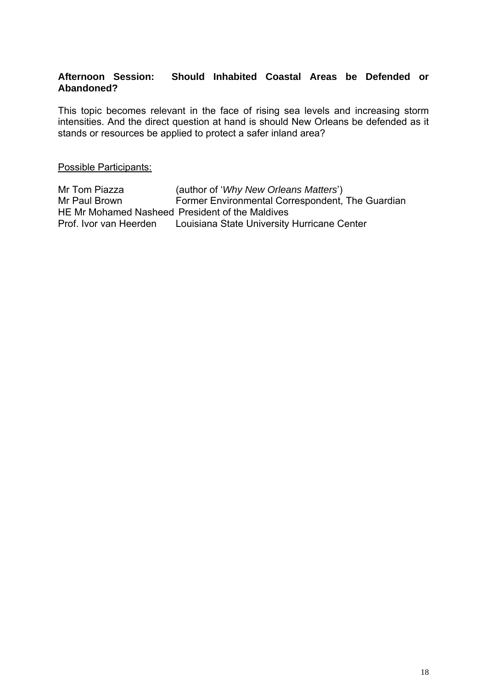#### **Afternoon Session: Should Inhabited Coastal Areas be Defended or Abandoned?**

This topic becomes relevant in the face of rising sea levels and increasing storm intensities. And the direct question at hand is should New Orleans be defended as it stands or resources be applied to protect a safer inland area?

Possible Participants:

Mr Tom Piazza (author of '*Why New Orleans Matters*') Mr Paul Brown Former Environmental Correspondent, The Guardian HE Mr Mohamed Nasheed President of the Maldives Prof. Ivor van Heerden Louisiana State University Hurricane Center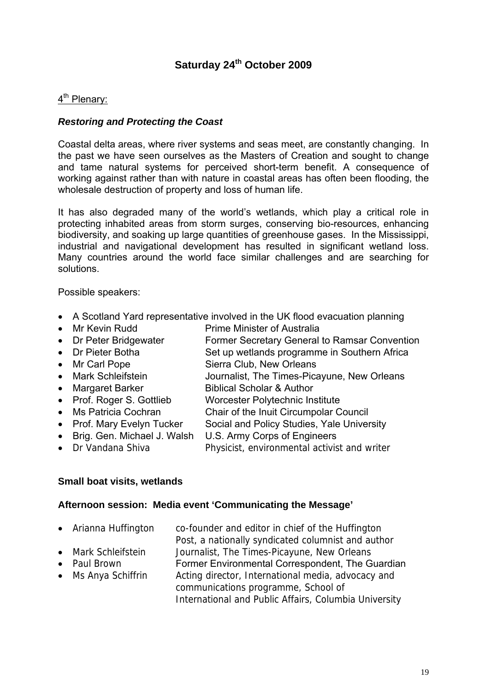## **Saturday 24th October 2009**

#### 4<sup>th</sup> Plenary:

#### *Restoring and Protecting the Coast*

Coastal delta areas, where river systems and seas meet, are constantly changing. In the past we have seen ourselves as the Masters of Creation and sought to change and tame natural systems for perceived short-term benefit. A consequence of working against rather than with nature in coastal areas has often been flooding, the wholesale destruction of property and loss of human life.

It has also degraded many of the world's wetlands, which play a critical role in protecting inhabited areas from storm surges, conserving bio-resources, enhancing biodiversity, and soaking up large quantities of greenhouse gases. In the Mississippi, industrial and navigational development has resulted in significant wetland loss. Many countries around the world face similar challenges and are searching for solutions.

Possible speakers:

- A Scotland Yard representative involved in the UK flood evacuation planning
- Mr Kevin Rudd Prime Minister of Australia
- Dr Peter Bridgewater Former Secretary General to Ramsar Convention
- Dr Pieter Botha Set up wetlands programme in Southern Africa
- Mr Carl Pope Sierra Club, New Orleans
- Mark Schleifstein Journalist, The Times-Picayune, New Orleans • Margaret Barker Biblical Scholar & Author
- Prof. Roger S. Gottlieb Worcester Polytechnic Institute
- Ms Patricia Cochran Chair of the Inuit Circumpolar Council
- Prof. Mary Evelyn Tucker Social and Policy Studies, Yale University
- 
- Brig. Gen. Michael J. Walsh U.S. Army Corps of Engineers
- Dr Vandana Shiva Physicist, environmental activist and writer

#### **Small boat visits, wetlands**

#### **Afternoon session: Media event 'Communicating the Message'**

- Arianna Huffington co-founder and editor in chief of the Huffington
- Post, a nationally syndicated columnist and author
- 

• Mark Schleifstein Journalist, The Times-Picayune, New Orleans • Paul Brown **Former Environmental Correspondent, The Guardian** • Ms Anya Schiffrin Acting director, International media, advocacy and communications programme, School of International and Public Affairs, Columbia University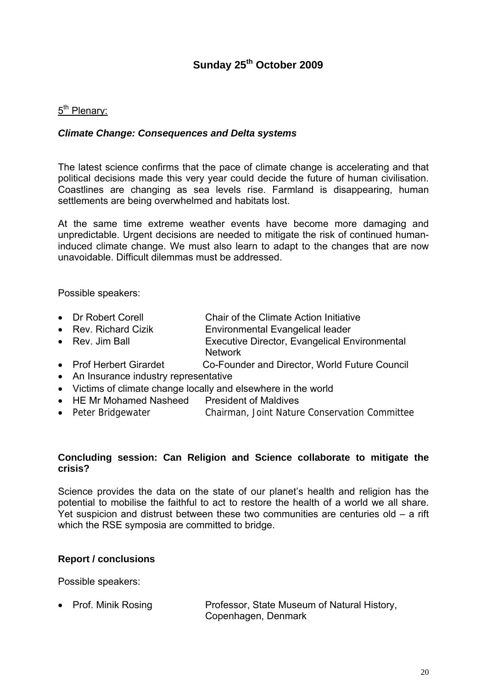# **Sunday 25th October 2009**

### 5<sup>th</sup> Plenary:

#### *Climate Change: Consequences and Delta systems*

The latest science confirms that the pace of climate change is accelerating and that political decisions made this very year could decide the future of human civilisation. Coastlines are changing as sea levels rise. Farmland is disappearing, human settlements are being overwhelmed and habitats lost.

At the same time extreme weather events have become more damaging and unpredictable. Urgent decisions are needed to mitigate the risk of continued humaninduced climate change. We must also learn to adapt to the changes that are now unavoidable. Difficult dilemmas must be addressed.

Possible speakers:

- Dr Robert Corell Chair of the Climate Action Initiative
- Rev. Richard Cizik **Environmental Evangelical leader**
- Rev. Jim Ball **Executive Director, Evangelical Environmental** Network
- Prof Herbert Girardet Co-Founder and Director, World Future Council
- An Insurance industry representative
- Victims of climate change locally and elsewhere in the world
- HE Mr Mohamed Nasheed President of Maldives
- Peter Bridgewater Chairman, Joint Nature Conservation Committee

#### **Concluding session: Can Religion and Science collaborate to mitigate the crisis?**

Science provides the data on the state of our planet's health and religion has the potential to mobilise the faithful to act to restore the health of a world we all share. Yet suspicion and distrust between these two communities are centuries old – a rift which the RSE symposia are committed to bridge.

#### **Report / conclusions**

Possible speakers:

• Prof. Minik Rosing Professor, State Museum of Natural History, Copenhagen, Denmark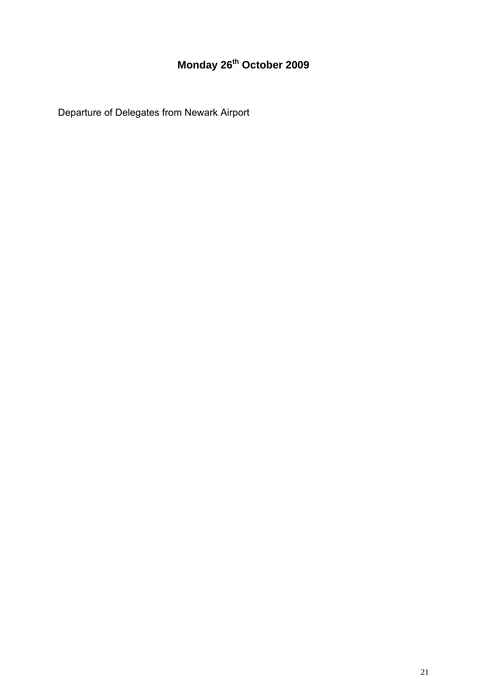# **Monday 26th October 2009**

Departure of Delegates from Newark Airport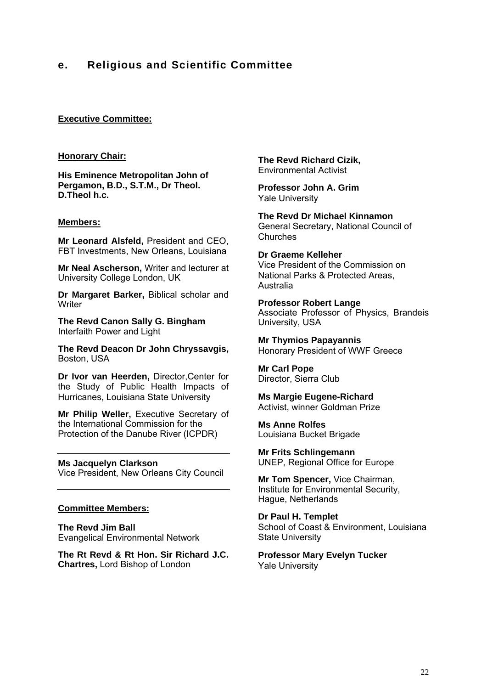## **e. Religious and Scientific Committee**

#### **Executive Committee:**

#### **Honorary Chair:**

**His Eminence Metropolitan John of Pergamon, B.D., S.T.M., Dr Theol. D.Theol h.c.** 

#### **Members:**

**Mr Leonard Alsfeld,** President and CEO, FBT Investments, New Orleans, Louisiana

**Mr Neal Ascherson,** Writer and lecturer at University College London, UK

**Dr Margaret Barker,** Biblical scholar and **Writer** 

**The Revd Canon Sally G. Bingham**  Interfaith Power and Light

**The Revd Deacon Dr John Chryssavgis,**  Boston, USA

**Dr Ivor van Heerden,** Director,Center for the Study of Public Health Impacts of Hurricanes, Louisiana State University

**Mr Philip Weller,** Executive Secretary of the International Commission for the Protection of the Danube River (ICPDR)

#### **Ms Jacquelyn Clarkson**

Vice President, New Orleans City Council

#### **Committee Members:**

**The Revd Jim Ball**  Evangelical Environmental Network

**The Rt Revd & Rt Hon. Sir Richard J.C. Chartres,** Lord Bishop of London

**The Revd Richard Cizik,** Environmental Activist

**Professor John A. Grim**  Yale University

**The Revd Dr Michael Kinnamon**  General Secretary, National Council of **Churches** 

**Dr Graeme Kelleher**  Vice President of the Commission on National Parks & Protected Areas, Australia

**Professor Robert Lange**  Associate Professor of Physics, Brandeis University, USA

**Mr Thymios Papayannis**  Honorary President of WWF Greece

**Mr Carl Pope**  Director, Sierra Club

**Ms Margie Eugene-Richard**  Activist, winner Goldman Prize

**Ms Anne Rolfes**  Louisiana Bucket Brigade

**Mr Frits Schlingemann**  UNEP, Regional Office for Europe

**Mr Tom Spencer,** Vice Chairman, Institute for Environmental Security, Hague, Netherlands

**Dr Paul H. Templet**  School of Coast & Environment, Louisiana State University

**Professor Mary Evelyn Tucker**  Yale University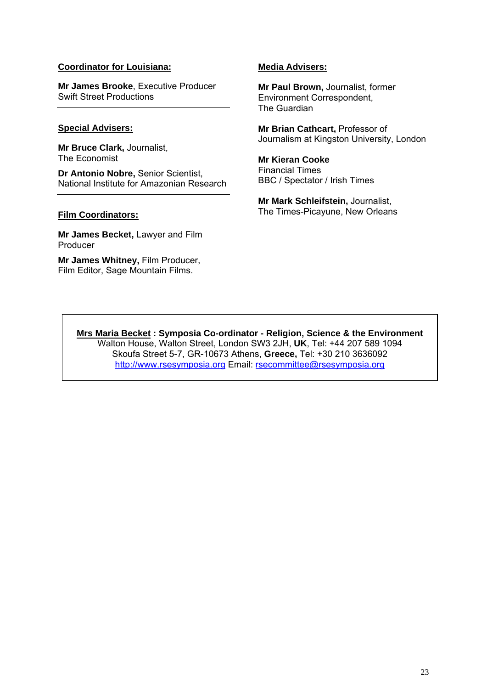#### **Coordinator for Louisiana:**

**Mr James Brooke**, Executive Producer Swift Street Productions

#### **Special Advisers:**

**Mr Bruce Clark,** Journalist, The Economist

**Dr Antonio Nobre,** Senior Scientist, National Institute for Amazonian Research

#### **Film Coordinators:**

**Mr James Becket,** Lawyer and Film Producer

**Mr James Whitney,** Film Producer, Film Editor, Sage Mountain Films.

#### **Media Advisers:**

**Mr Paul Brown,** Journalist, former Environment Correspondent, The Guardian

**Mr Brian Cathcart,** Professor of Journalism at Kingston University, London

**Mr Kieran Cooke**  Financial Times BBC / Spectator / Irish Times

**Mr Mark Schleifstein,** Journalist, The Times-Picayune, New Orleans

**Mrs Maria Becket : Symposia Co-ordinator - Religion, Science & the Environment**  Walton House, Walton Street, London SW3 2JH, **UK**, Tel: +44 207 589 1094 Skoufa Street 5-7, GR-10673 Athens, **Greece,** Tel: +30 210 3636092 http://www.rsesymposia.org Email: rsecommittee@rsesymposia.org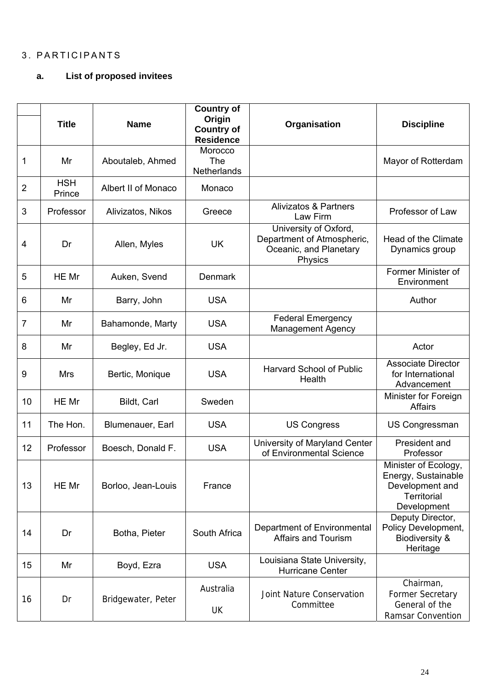## 3. PARTICIPANTS

#### **a. List of proposed invitees**

|                | <b>Title</b>         | <b>Name</b>         | <b>Country of</b><br>Origin<br><b>Country of</b><br><b>Residence</b> | Organisation                                                                             | <b>Discipline</b>                                                                                   |
|----------------|----------------------|---------------------|----------------------------------------------------------------------|------------------------------------------------------------------------------------------|-----------------------------------------------------------------------------------------------------|
| 1              | Mr                   | Aboutaleb, Ahmed    | Morocco<br><b>The</b><br>Netherlands                                 |                                                                                          | Mayor of Rotterdam                                                                                  |
| $\overline{2}$ | <b>HSH</b><br>Prince | Albert II of Monaco | Monaco                                                               |                                                                                          |                                                                                                     |
| 3              | Professor            | Alivizatos, Nikos   | Greece                                                               | <b>Alivizatos &amp; Partners</b><br>Law Firm                                             | Professor of Law                                                                                    |
| $\overline{4}$ | Dr                   | Allen, Myles        | <b>UK</b>                                                            | University of Oxford,<br>Department of Atmospheric,<br>Oceanic, and Planetary<br>Physics | <b>Head of the Climate</b><br>Dynamics group                                                        |
| 5              | HE Mr                | Auken, Svend        | <b>Denmark</b>                                                       |                                                                                          | Former Minister of<br>Environment                                                                   |
| 6              | Mr                   | Barry, John         | <b>USA</b>                                                           |                                                                                          | Author                                                                                              |
| $\overline{7}$ | Mr                   | Bahamonde, Marty    | <b>USA</b>                                                           | <b>Federal Emergency</b><br><b>Management Agency</b>                                     |                                                                                                     |
| 8              | Mr                   | Begley, Ed Jr.      | <b>USA</b>                                                           |                                                                                          | Actor                                                                                               |
| 9              | <b>Mrs</b>           | Bertic, Monique     | <b>USA</b>                                                           | <b>Harvard School of Public</b><br>Health                                                | <b>Associate Director</b><br>for International<br>Advancement                                       |
| 10             | HE Mr                | Bildt, Carl         | Sweden                                                               |                                                                                          | Minister for Foreign<br><b>Affairs</b>                                                              |
| 11             | The Hon.             | Blumenauer, Earl    | <b>USA</b>                                                           | <b>US Congress</b>                                                                       | <b>US Congressman</b>                                                                               |
| 12             | Professor            | Boesch, Donald F.   | <b>USA</b>                                                           | University of Maryland Center<br>of Environmental Science                                | President and<br>Professor                                                                          |
| 13             | HE Mr                | Borloo, Jean-Louis  | France                                                               |                                                                                          | Minister of Ecology,<br>Energy, Sustainable<br>Development and<br><b>Territorial</b><br>Development |
| 14             | Dr                   | Botha, Pieter       | South Africa                                                         | Department of Environmental<br><b>Affairs and Tourism</b>                                | Deputy Director,<br>Policy Development,<br><b>Biodiversity &amp;</b><br>Heritage                    |
| 15             | Mr                   | Boyd, Ezra          | <b>USA</b>                                                           | Louisiana State University,<br><b>Hurricane Center</b>                                   |                                                                                                     |
| 16             | Dr                   | Bridgewater, Peter  | Australia<br>UK                                                      | Joint Nature Conservation<br>Committee                                                   | Chairman,<br><b>Former Secretary</b><br>General of the<br>Ramsar Convention                         |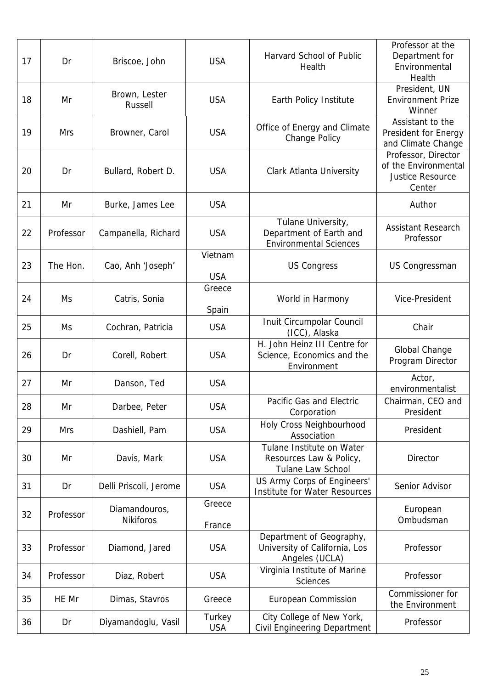| 17 | Dr         | Briscoe, John                     | <b>USA</b>            | Harvard School of Public<br>Health                                             | Professor at the<br>Department for<br>Environmental<br>Health                    |
|----|------------|-----------------------------------|-----------------------|--------------------------------------------------------------------------------|----------------------------------------------------------------------------------|
| 18 | Mr         | Brown, Lester<br>Russell          | <b>USA</b>            | Earth Policy Institute                                                         | President, UN<br><b>Environment Prize</b><br>Winner                              |
| 19 | <b>Mrs</b> | Browner, Carol                    | <b>USA</b>            | Office of Energy and Climate<br><b>Change Policy</b>                           | Assistant to the<br>President for Energy<br>and Climate Change                   |
| 20 | Dr         | Bullard, Robert D.                | <b>USA</b>            | Clark Atlanta University                                                       | Professor, Director<br>of the Environmental<br><b>Justice Resource</b><br>Center |
| 21 | Mr         | Burke, James Lee                  | <b>USA</b>            |                                                                                | Author                                                                           |
| 22 | Professor  | Campanella, Richard               | <b>USA</b>            | Tulane University,<br>Department of Earth and<br><b>Environmental Sciences</b> | <b>Assistant Research</b><br>Professor                                           |
| 23 | The Hon.   | Cao, Anh 'Joseph'                 | Vietnam<br><b>USA</b> | <b>US Congress</b>                                                             | <b>US Congressman</b>                                                            |
| 24 | Ms         | Catris, Sonia                     | Greece<br>Spain       | World in Harmony                                                               | Vice-President                                                                   |
| 25 | Ms         | Cochran, Patricia                 | <b>USA</b>            | Inuit Circumpolar Council<br>(ICC), Alaska                                     | Chair                                                                            |
| 26 | Dr         | Corell, Robert                    | <b>USA</b>            | H. John Heinz III Centre for<br>Science, Economics and the<br>Environment      | Global Change<br>Program Director                                                |
| 27 | Mr         | Danson, Ted                       | <b>USA</b>            |                                                                                | Actor,<br>environmentalist                                                       |
| 28 | Mr         | Darbee, Peter                     | <b>USA</b>            | Pacific Gas and Electric<br>Corporation                                        | Chairman, CEO and<br>President                                                   |
| 29 | <b>Mrs</b> | Dashiell, Pam                     | <b>USA</b>            | Holy Cross Neighbourhood<br>Association                                        | President                                                                        |
| 30 | Mr         | Davis, Mark                       | <b>USA</b>            | Tulane Institute on Water<br>Resources Law & Policy,<br>Tulane Law School      | Director                                                                         |
| 31 | Dr         | Delli Priscoli, Jerome            | <b>USA</b>            | US Army Corps of Engineers'<br>Institute for Water Resources                   | Senior Advisor                                                                   |
| 32 | Professor  | Diamandouros,<br><b>Nikiforos</b> | Greece<br>France      |                                                                                | European<br>Ombudsman                                                            |
| 33 | Professor  | Diamond, Jared                    | <b>USA</b>            | Department of Geography,<br>University of California, Los<br>Angeles (UCLA)    | Professor                                                                        |
| 34 | Professor  | Diaz, Robert                      | <b>USA</b>            | Virginia Institute of Marine<br><b>Sciences</b>                                | Professor                                                                        |
| 35 | HE Mr      | Dimas, Stavros                    | Greece                | European Commission                                                            | Commissioner for<br>the Environment                                              |
| 36 | Dr         | Diyamandoglu, Vasil               | Turkey<br><b>USA</b>  | City College of New York,<br><b>Civil Engineering Department</b>               | Professor                                                                        |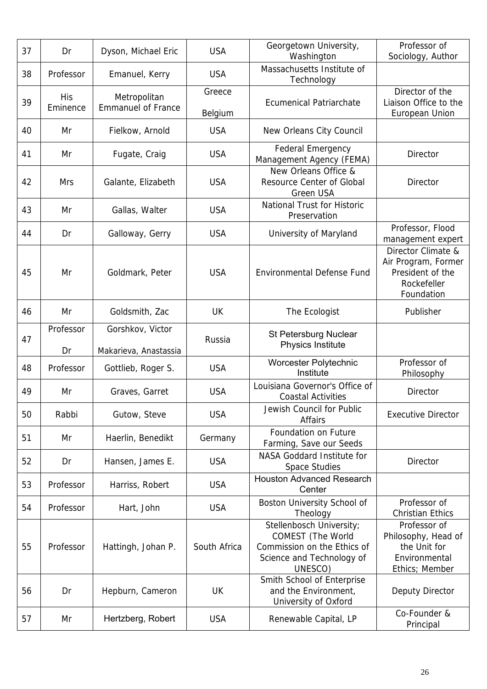| 37 | Dr                     | Dyson, Michael Eric                       | <b>USA</b>        | Georgetown University,<br>Washington                                                                                        | Professor of<br>Sociology, Author                                                          |
|----|------------------------|-------------------------------------------|-------------------|-----------------------------------------------------------------------------------------------------------------------------|--------------------------------------------------------------------------------------------|
| 38 | Professor              | Emanuel, Kerry                            | <b>USA</b>        | Massachusetts Institute of<br>Technology                                                                                    |                                                                                            |
| 39 | <b>His</b><br>Eminence | Metropolitan<br><b>Emmanuel of France</b> | Greece<br>Belgium | <b>Ecumenical Patriarchate</b>                                                                                              | Director of the<br>Liaison Office to the<br>European Union                                 |
| 40 | Mr                     | Fielkow, Arnold                           | <b>USA</b>        | New Orleans City Council                                                                                                    |                                                                                            |
| 41 | Mr                     | Fugate, Craig                             | <b>USA</b>        | Federal Emergency<br>Management Agency (FEMA)                                                                               | <b>Director</b>                                                                            |
| 42 | <b>Mrs</b>             | Galante, Elizabeth                        | <b>USA</b>        | New Orleans Office &<br>Resource Center of Global<br><b>Green USA</b>                                                       | <b>Director</b>                                                                            |
| 43 | Mr                     | Gallas, Walter                            | <b>USA</b>        | <b>National Trust for Historic</b><br>Preservation                                                                          |                                                                                            |
| 44 | Dr                     | Galloway, Gerry                           | <b>USA</b>        | University of Maryland                                                                                                      | Professor, Flood<br>management expert                                                      |
| 45 | Mr                     | Goldmark, Peter                           | <b>USA</b>        | <b>Environmental Defense Fund</b>                                                                                           | Director Climate &<br>Air Program, Former<br>President of the<br>Rockefeller<br>Foundation |
| 46 | Mr                     | Goldsmith, Zac                            | <b>UK</b>         | The Ecologist                                                                                                               | Publisher                                                                                  |
| 47 | Professor<br>Dr        | Gorshkov, Victor<br>Makarieva, Anastassia | Russia            | St Petersburg Nuclear<br>Physics Institute                                                                                  |                                                                                            |
| 48 | Professor              | Gottlieb, Roger S.                        | <b>USA</b>        | Worcester Polytechnic<br>Institute                                                                                          | Professor of<br>Philosophy                                                                 |
| 49 | Mr                     | Graves, Garret                            | <b>USA</b>        | Louisiana Governor's Office of<br><b>Coastal Activities</b>                                                                 | Director                                                                                   |
| 50 | Rabbi                  | Gutow, Steve                              | <b>USA</b>        | Jewish Council for Public<br><b>Affairs</b>                                                                                 | <b>Executive Director</b>                                                                  |
| 51 | Mr                     | Haerlin, Benedikt                         | Germany           | <b>Foundation on Future</b><br>Farming, Save our Seeds                                                                      |                                                                                            |
| 52 | Dr                     | Hansen, James E.                          | <b>USA</b>        | NASA Goddard Institute for<br>Space Studies                                                                                 | <b>Director</b>                                                                            |
| 53 | Professor              | Harriss, Robert                           | <b>USA</b>        | <b>Houston Advanced Research</b><br>Center                                                                                  |                                                                                            |
| 54 | Professor              | Hart, John                                | <b>USA</b>        | Boston University School of<br>Theology                                                                                     | Professor of<br><b>Christian Ethics</b>                                                    |
| 55 | Professor              | Hattingh, Johan P.                        | South Africa      | Stellenbosch University;<br><b>COMEST</b> (The World<br>Commission on the Ethics of<br>Science and Technology of<br>UNESCO) | Professor of<br>Philosophy, Head of<br>the Unit for<br>Environmental<br>Ethics; Member     |
| 56 | Dr                     | Hepburn, Cameron                          | <b>UK</b>         | Smith School of Enterprise<br>and the Environment,<br>University of Oxford                                                  | Deputy Director                                                                            |
| 57 | Mr                     | Hertzberg, Robert                         | <b>USA</b>        | Renewable Capital, LP                                                                                                       | Co-Founder &<br>Principal                                                                  |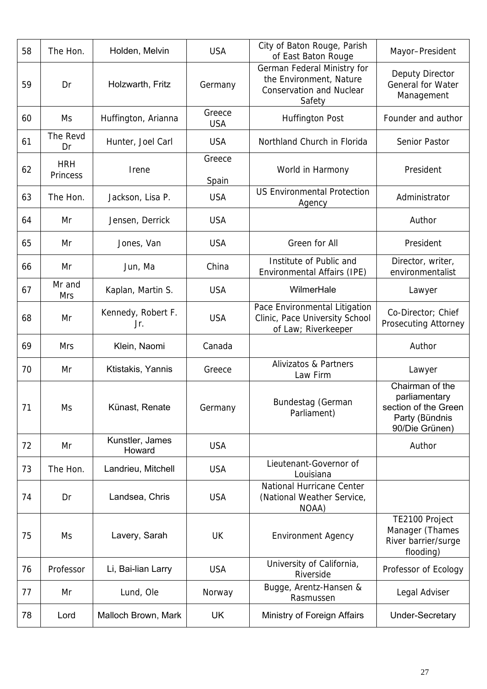| 58 | The Hon.               | Holden, Melvin            | <b>USA</b>           | City of Baton Rouge, Parish<br>of East Baton Rouge                                                  | Mayor-President                                                                              |
|----|------------------------|---------------------------|----------------------|-----------------------------------------------------------------------------------------------------|----------------------------------------------------------------------------------------------|
| 59 | Dr                     | Holzwarth, Fritz          | Germany              | German Federal Ministry for<br>the Environment, Nature<br><b>Conservation and Nuclear</b><br>Safety | Deputy Director<br>General for Water<br>Management                                           |
| 60 | Ms                     | Huffington, Arianna       | Greece<br><b>USA</b> | <b>Huffington Post</b>                                                                              | Founder and author                                                                           |
| 61 | The Revd<br>Dr         | Hunter, Joel Carl         | <b>USA</b>           | Northland Church in Florida                                                                         | Senior Pastor                                                                                |
| 62 | <b>HRH</b><br>Princess | Irene                     | Greece<br>Spain      | World in Harmony                                                                                    | President                                                                                    |
| 63 | The Hon.               | Jackson, Lisa P.          | <b>USA</b>           | <b>US Environmental Protection</b><br>Agency                                                        | Administrator                                                                                |
| 64 | Mr                     | Jensen, Derrick           | <b>USA</b>           |                                                                                                     | Author                                                                                       |
| 65 | Mr                     | Jones, Van                | <b>USA</b>           | Green for All                                                                                       | President                                                                                    |
| 66 | Mr                     | Jun, Ma                   | China                | Institute of Public and<br>Environmental Affairs (IPE)                                              | Director, writer,<br>environmentalist                                                        |
| 67 | Mr and<br><b>Mrs</b>   | Kaplan, Martin S.         | <b>USA</b>           | WilmerHale                                                                                          | Lawyer                                                                                       |
| 68 | Mr                     | Kennedy, Robert F.<br>Jr. | <b>USA</b>           | Pace Environmental Litigation<br>Clinic, Pace University School<br>of Law; Riverkeeper              | Co-Director; Chief<br><b>Prosecuting Attorney</b>                                            |
| 69 | <b>Mrs</b>             | Klein, Naomi              | Canada               |                                                                                                     | Author                                                                                       |
| 70 | Mr                     | Ktistakis, Yannis         | Greece               | <b>Alivizatos &amp; Partners</b><br>Law Firm                                                        | Lawyer                                                                                       |
| 71 | Ms                     | Künast, Renate            | Germany              | Bundestag (German<br>Parliament)                                                                    | Chairman of the<br>parliamentary<br>section of the Green<br>Party (Bündnis<br>90/Die Grünen) |
| 72 | Mr                     | Kunstler, James<br>Howard | <b>USA</b>           |                                                                                                     | Author                                                                                       |
| 73 | The Hon.               | Landrieu, Mitchell        | <b>USA</b>           | Lieutenant-Governor of<br>Louisiana                                                                 |                                                                                              |
| 74 | Dr                     | Landsea, Chris            | <b>USA</b>           | National Hurricane Center<br>(National Weather Service,<br>NOAA)                                    |                                                                                              |
| 75 | Ms                     | Lavery, Sarah             | UK                   | <b>Environment Agency</b>                                                                           | TE2100 Project<br>Manager (Thames<br>River barrier/surge<br>flooding)                        |
| 76 | Professor              | Li, Bai-lian Larry        | <b>USA</b>           | University of California,<br>Riverside                                                              | Professor of Ecology                                                                         |
| 77 | Mr                     | Lund, Ole                 | Norway               | Bugge, Arentz-Hansen &<br>Rasmussen                                                                 | Legal Adviser                                                                                |
| 78 | Lord                   | Malloch Brown, Mark       | UK                   | Ministry of Foreign Affairs                                                                         | <b>Under-Secretary</b>                                                                       |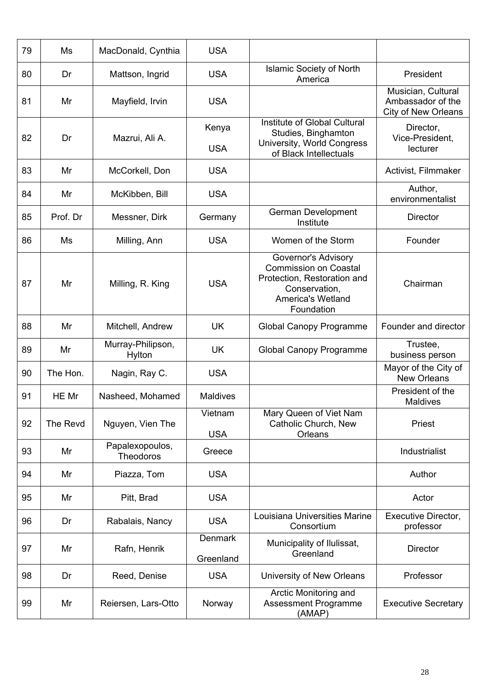| 79 | Ms       | MacDonald, Cynthia                  | <b>USA</b>                  |                                                                                                                                        |                                                                       |
|----|----------|-------------------------------------|-----------------------------|----------------------------------------------------------------------------------------------------------------------------------------|-----------------------------------------------------------------------|
| 80 | Dr       | Mattson, Ingrid                     | <b>USA</b>                  | <b>Islamic Society of North</b><br>America                                                                                             | President                                                             |
| 81 | Mr       | Mayfield, Irvin                     | <b>USA</b>                  |                                                                                                                                        | Musician, Cultural<br>Ambassador of the<br><b>City of New Orleans</b> |
| 82 | Dr       | Mazrui, Ali A.                      | Kenya<br><b>USA</b>         | <b>Institute of Global Cultural</b><br>Studies, Binghamton<br>University, World Congress<br>of Black Intellectuals                     | Director,<br>Vice-President,<br>lecturer                              |
| 83 | Mr       | McCorkell, Don                      | <b>USA</b>                  |                                                                                                                                        | Activist, Filmmaker                                                   |
| 84 | Mr       | McKibben, Bill                      | <b>USA</b>                  |                                                                                                                                        | Author,<br>environmentalist                                           |
| 85 | Prof. Dr | Messner, Dirk                       | Germany                     | German Development<br>Institute                                                                                                        | <b>Director</b>                                                       |
| 86 | Ms       | Milling, Ann                        | <b>USA</b>                  | Women of the Storm                                                                                                                     | Founder                                                               |
| 87 | Mr       | Milling, R. King                    | <b>USA</b>                  | Governor's Advisory<br><b>Commission on Coastal</b><br>Protection, Restoration and<br>Conservation,<br>America's Wetland<br>Foundation | Chairman                                                              |
| 88 | Mr       | Mitchell, Andrew                    | <b>UK</b>                   | <b>Global Canopy Programme</b>                                                                                                         | Founder and director                                                  |
| 89 | Mr       | Murray-Philipson,<br>Hylton         | <b>UK</b>                   | <b>Global Canopy Programme</b>                                                                                                         | Trustee,<br>business person                                           |
| 90 | The Hon. | Nagin, Ray C.                       | <b>USA</b>                  |                                                                                                                                        | Mayor of the City of<br><b>New Orleans</b>                            |
| 91 | HE Mr    | Nasheed, Mohamed                    | <b>Maldives</b>             |                                                                                                                                        | President of the<br>Maldives                                          |
| 92 | The Revd | Nguyen, Vien The                    | Vietnam<br><b>USA</b>       | Mary Queen of Viet Nam<br>Catholic Church, New<br>Orleans                                                                              | Priest                                                                |
| 93 | Mr       | Papalexopoulos,<br><b>Theodoros</b> | Greece                      |                                                                                                                                        | Industrialist                                                         |
| 94 | Mr       | Piazza, Tom                         | <b>USA</b>                  |                                                                                                                                        | Author                                                                |
| 95 | Mr       | Pitt, Brad                          | <b>USA</b>                  |                                                                                                                                        | Actor                                                                 |
| 96 | Dr       | Rabalais, Nancy                     | <b>USA</b>                  | Louisiana Universities Marine<br>Consortium                                                                                            | <b>Executive Director,</b><br>professor                               |
| 97 | Mr       | Rafn, Henrik                        | <b>Denmark</b><br>Greenland | Municipality of Ilulissat,<br>Greenland                                                                                                | <b>Director</b>                                                       |
| 98 | Dr       | Reed, Denise                        | <b>USA</b>                  | University of New Orleans                                                                                                              | Professor                                                             |
| 99 | Mr       | Reiersen, Lars-Otto                 | Norway                      | Arctic Monitoring and<br><b>Assessment Programme</b><br>(AMAP)                                                                         | <b>Executive Secretary</b>                                            |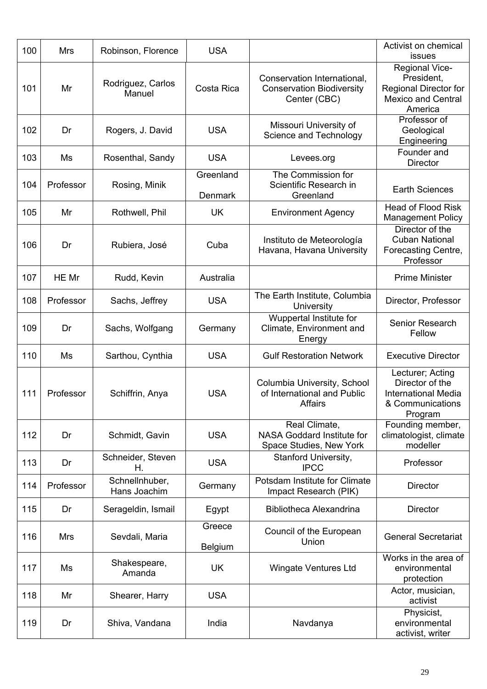| 100 | <b>Mrs</b> | Robinson, Florence             | <b>USA</b>                  |                                                                                 | Activist on chemical<br>issues                                                                       |
|-----|------------|--------------------------------|-----------------------------|---------------------------------------------------------------------------------|------------------------------------------------------------------------------------------------------|
| 101 | Mr         | Rodriguez, Carlos<br>Manuel    | Costa Rica                  | Conservation International,<br><b>Conservation Biodiversity</b><br>Center (CBC) | Regional Vice-<br>President,<br><b>Regional Director for</b><br><b>Mexico and Central</b><br>America |
| 102 | Dr         | Rogers, J. David               | <b>USA</b>                  | Missouri University of<br>Science and Technology                                | Professor of<br>Geological<br>Engineering                                                            |
| 103 | Ms         | Rosenthal, Sandy               | <b>USA</b>                  | Levees.org                                                                      | Founder and<br><b>Director</b>                                                                       |
| 104 | Professor  | Rosing, Minik                  | Greenland<br><b>Denmark</b> | The Commission for<br>Scientific Research in<br>Greenland                       | <b>Earth Sciences</b>                                                                                |
| 105 | Mr         | Rothwell, Phil                 | <b>UK</b>                   | <b>Environment Agency</b>                                                       | <b>Head of Flood Risk</b><br><b>Management Policy</b>                                                |
| 106 | Dr         | Rubiera, José                  | Cuba                        | Instituto de Meteorología<br>Havana, Havana University                          | Director of the<br><b>Cuban National</b><br>Forecasting Centre,<br>Professor                         |
| 107 | HE Mr      | Rudd, Kevin                    | Australia                   |                                                                                 | <b>Prime Minister</b>                                                                                |
| 108 | Professor  | Sachs, Jeffrey                 | <b>USA</b>                  | The Earth Institute, Columbia<br>University                                     | Director, Professor                                                                                  |
| 109 | Dr         | Sachs, Wolfgang                | Germany                     | Wuppertal Institute for<br>Climate, Environment and<br>Energy                   | Senior Research<br>Fellow                                                                            |
| 110 | Ms         | Sarthou, Cynthia               | <b>USA</b>                  | <b>Gulf Restoration Network</b>                                                 | <b>Executive Director</b>                                                                            |
| 111 | Professor  | Schiffrin, Anya                | <b>USA</b>                  | Columbia University, School<br>of International and Public<br>Affairs           | Lecturer; Acting<br>Director of the<br><b>International Media</b><br>& Communications<br>Program     |
| 112 | Dr         | Schmidt, Gavin                 | <b>USA</b>                  | Real Climate,<br><b>NASA Goddard Institute for</b><br>Space Studies, New York   | Founding member,<br>climatologist, climate<br>modeller                                               |
| 113 | Dr         | Schneider, Steven<br>Η.        | <b>USA</b>                  | Stanford University,<br><b>IPCC</b>                                             | Professor                                                                                            |
| 114 | Professor  | Schnellnhuber,<br>Hans Joachim | Germany                     | Potsdam Institute for Climate<br>Impact Research (PIK)                          | <b>Director</b>                                                                                      |
| 115 | Dr         | Serageldin, Ismail             | Egypt                       | <b>Bibliotheca Alexandrina</b>                                                  | <b>Director</b>                                                                                      |
| 116 | <b>Mrs</b> | Sevdali, Maria                 | Greece<br><b>Belgium</b>    | Council of the European<br>Union                                                | <b>General Secretariat</b>                                                                           |
| 117 | Ms         | Shakespeare,<br>Amanda         | <b>UK</b>                   | <b>Wingate Ventures Ltd</b>                                                     | Works in the area of<br>environmental<br>protection                                                  |
| 118 | Mr         | Shearer, Harry                 | <b>USA</b>                  |                                                                                 | Actor, musician,<br>activist                                                                         |
| 119 | Dr         | Shiva, Vandana                 | India                       | Navdanya                                                                        | Physicist,<br>environmental<br>activist, writer                                                      |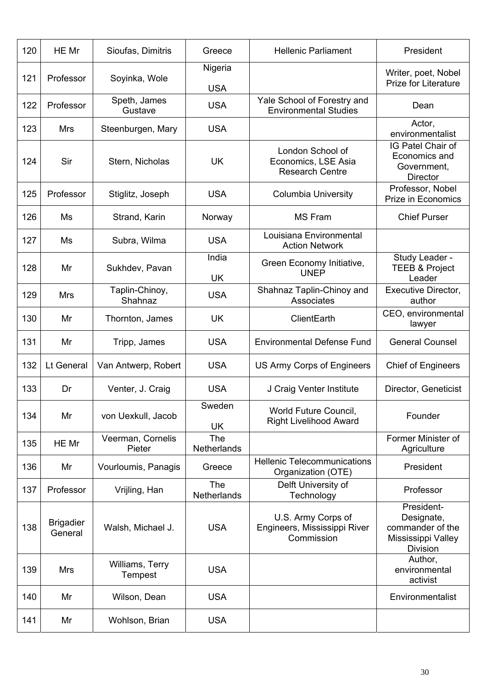| 120 | HE Mr                       | Sioufas, Dimitris           | Greece                    | <b>Hellenic Parliament</b>                                        | President                                                                             |
|-----|-----------------------------|-----------------------------|---------------------------|-------------------------------------------------------------------|---------------------------------------------------------------------------------------|
| 121 | Professor                   | Soyinka, Wole               | Nigeria<br><b>USA</b>     |                                                                   | Writer, poet, Nobel<br><b>Prize for Literature</b>                                    |
| 122 | Professor                   | Speth, James<br>Gustave     | <b>USA</b>                | Yale School of Forestry and<br><b>Environmental Studies</b>       | Dean                                                                                  |
| 123 | <b>Mrs</b>                  | Steenburgen, Mary           | <b>USA</b>                |                                                                   | Actor,<br>environmentalist                                                            |
| 124 | Sir                         | Stern, Nicholas             | <b>UK</b>                 | London School of<br>Economics, LSE Asia<br><b>Research Centre</b> | IG Patel Chair of<br>Economics and<br>Government,<br><b>Director</b>                  |
| 125 | Professor                   | Stiglitz, Joseph            | <b>USA</b>                | <b>Columbia University</b>                                        | Professor, Nobel<br>Prize in Economics                                                |
| 126 | Ms                          | Strand, Karin               | Norway                    | <b>MS Fram</b>                                                    | <b>Chief Purser</b>                                                                   |
| 127 | Ms                          | Subra, Wilma                | <b>USA</b>                | Louisiana Environmental<br><b>Action Network</b>                  |                                                                                       |
| 128 | Mr                          | Sukhdev, Pavan              | India<br><b>UK</b>        | Green Economy Initiative,<br><b>UNEP</b>                          | Study Leader -<br><b>TEEB &amp; Project</b><br>Leader                                 |
| 129 | <b>Mrs</b>                  | Taplin-Chinoy,<br>Shahnaz   | <b>USA</b>                | Shahnaz Taplin-Chinoy and<br>Associates                           | Executive Director,<br>author                                                         |
| 130 | Mr                          | Thornton, James             | <b>UK</b>                 | ClientEarth                                                       | CEO, environmental<br>lawyer                                                          |
| 131 | Mr                          | Tripp, James                | <b>USA</b>                | <b>Environmental Defense Fund</b>                                 | <b>General Counsel</b>                                                                |
| 132 | Lt General                  | Van Antwerp, Robert         | <b>USA</b>                | US Army Corps of Engineers                                        | <b>Chief of Engineers</b>                                                             |
| 133 | Dr                          | Venter, J. Craig            | <b>USA</b>                | J Craig Venter Institute                                          | Director, Geneticist                                                                  |
| 134 | Mr                          | von Uexkull, Jacob          | Sweden<br><b>UK</b>       | World Future Council,<br><b>Right Livelihood Award</b>            | Founder                                                                               |
| 135 | HE Mr                       | Veerman, Cornelis<br>Pieter | <b>The</b><br>Netherlands |                                                                   | Former Minister of<br>Agriculture                                                     |
| 136 | Mr                          | Vourloumis, Panagis         | Greece                    | <b>Hellenic Telecommunications</b><br>Organization (OTE)          | President                                                                             |
| 137 | Professor                   | Vrijling, Han               | The<br><b>Netherlands</b> | Delft University of<br>Technology                                 | Professor                                                                             |
| 138 | <b>Brigadier</b><br>General | Walsh, Michael J.           | <b>USA</b>                | U.S. Army Corps of<br>Engineers, Mississippi River<br>Commission  | President-<br>Designate,<br>commander of the<br>Mississippi Valley<br><b>Division</b> |
| 139 | Mrs                         | Williams, Terry<br>Tempest  | <b>USA</b>                |                                                                   | Author,<br>environmental<br>activist                                                  |
| 140 | Mr                          | Wilson, Dean                | <b>USA</b>                |                                                                   | Environmentalist                                                                      |
| 141 | Mr                          | Wohlson, Brian              | <b>USA</b>                |                                                                   |                                                                                       |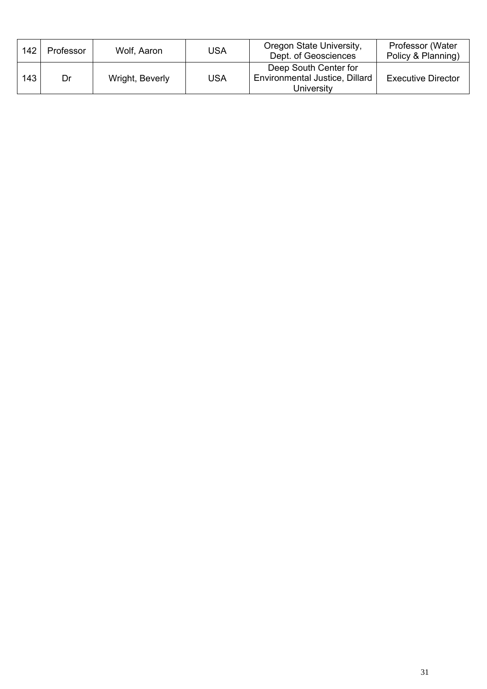| 142 | Professor | Wolf, Aaron     | USA | Oregon State University,<br>Dept. of Geosciences                      | Professor (Water<br>Policy & Planning) |
|-----|-----------|-----------------|-----|-----------------------------------------------------------------------|----------------------------------------|
| 143 | Dr        | Wright, Beverly | USA | Deep South Center for<br>Environmental Justice, Dillard<br>University | <b>Executive Director</b>              |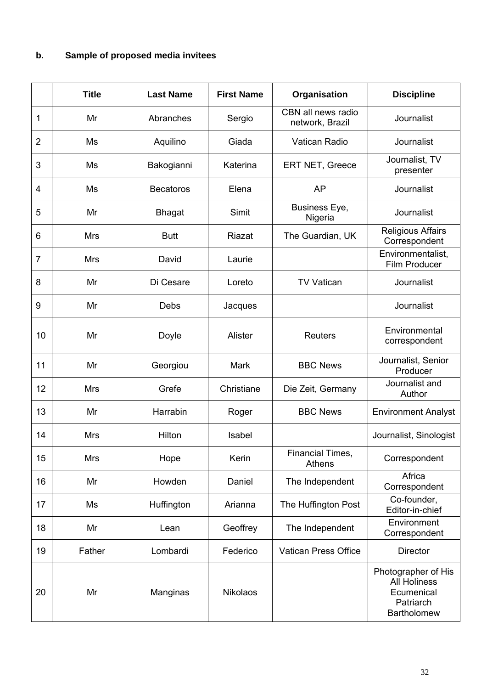|                | <b>Title</b> | <b>Last Name</b> | <b>First Name</b> | Organisation                          | <b>Discipline</b>                                                                    |
|----------------|--------------|------------------|-------------------|---------------------------------------|--------------------------------------------------------------------------------------|
| 1              | Mr           | Abranches        | Sergio            | CBN all news radio<br>network, Brazil | Journalist                                                                           |
| $\overline{2}$ | Ms           | Aquilino         | Giada             | Vatican Radio                         | Journalist                                                                           |
| 3              | Ms           | Bakogianni       | Katerina          | ERT NET, Greece                       | Journalist, TV<br>presenter                                                          |
| 4              | Ms           | <b>Becatoros</b> | Elena             | AP                                    | Journalist                                                                           |
| 5              | Mr           | <b>Bhagat</b>    | Simit             | Business Eye,<br>Nigeria              | Journalist                                                                           |
| 6              | <b>Mrs</b>   | <b>Butt</b>      | Riazat            | The Guardian, UK                      | <b>Religious Affairs</b><br>Correspondent                                            |
| $\overline{7}$ | <b>Mrs</b>   | David            | Laurie            |                                       | Environmentalist,<br>Film Producer                                                   |
| 8              | Mr           | Di Cesare        | Loreto            | <b>TV Vatican</b>                     | Journalist                                                                           |
| 9              | Mr           | Debs             | Jacques           |                                       | Journalist                                                                           |
| 10             | Mr           | Doyle            | Alister           | <b>Reuters</b>                        | Environmental<br>correspondent                                                       |
| 11             | Mr           | Georgiou         | Mark              | <b>BBC News</b>                       | Journalist, Senior<br>Producer                                                       |
| 12             | <b>Mrs</b>   | Grefe            | Christiane        | Die Zeit, Germany                     | Journalist and<br>Author                                                             |
| 13             | Mr           | Harrabin         | Roger             | <b>BBC News</b>                       | <b>Environment Analyst</b>                                                           |
| 14             | <b>Mrs</b>   | Hilton           | Isabel            |                                       | Journalist, Sinologist                                                               |
| 15             | <b>Mrs</b>   | Hope             | Kerin             | Financial Times,<br>Athens            | Correspondent                                                                        |
| 16             | Mr           | Howden           | Daniel            | The Independent                       | Africa<br>Correspondent                                                              |
| 17             | Ms           | Huffington       | Arianna           | The Huffington Post                   | Co-founder,<br>Editor-in-chief                                                       |
| 18             | Mr           | Lean             | Geoffrey          | The Independent                       | Environment<br>Correspondent                                                         |
| 19             | Father       | Lombardi         | Federico          | Vatican Press Office                  | <b>Director</b>                                                                      |
| 20             | Mr           | Manginas         | <b>Nikolaos</b>   |                                       | Photographer of His<br><b>All Holiness</b><br>Ecumenical<br>Patriarch<br>Bartholomew |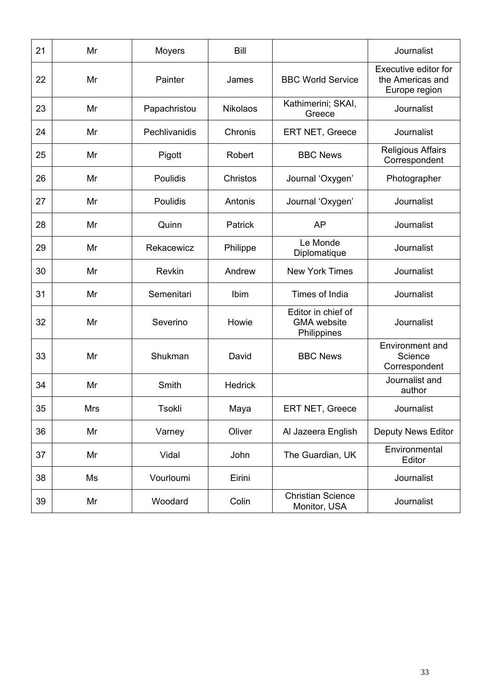| 21 | Mr  | <b>Moyers</b> | <b>Bill</b>     |                                                         | Journalist                                                |
|----|-----|---------------|-----------------|---------------------------------------------------------|-----------------------------------------------------------|
| 22 | Mr  | Painter       | James           | <b>BBC World Service</b>                                | Executive editor for<br>the Americas and<br>Europe region |
| 23 | Mr  | Papachristou  | <b>Nikolaos</b> | Kathimerini; SKAI,<br>Greece                            | Journalist                                                |
| 24 | Mr  | Pechlivanidis | Chronis         | <b>ERT NET, Greece</b>                                  | Journalist                                                |
| 25 | Mr  | Pigott        | Robert          | <b>BBC News</b>                                         | <b>Religious Affairs</b><br>Correspondent                 |
| 26 | Mr  | Poulidis      | Christos        | Journal 'Oxygen'                                        | Photographer                                              |
| 27 | Mr  | Poulidis      | Antonis         | Journal 'Oxygen'                                        | Journalist                                                |
| 28 | Mr  | Quinn         | Patrick         | <b>AP</b>                                               | Journalist                                                |
| 29 | Mr  | Rekacewicz    | Philippe        | Le Monde<br>Diplomatique                                | Journalist                                                |
| 30 | Mr  | <b>Revkin</b> | Andrew          | <b>New York Times</b>                                   | Journalist                                                |
| 31 | Mr  | Semenitari    | Ibim            | Times of India                                          | Journalist                                                |
| 32 | Mr  | Severino      | Howie           | Editor in chief of<br><b>GMA</b> website<br>Philippines | Journalist                                                |
| 33 | Mr  | Shukman       | David           | <b>BBC News</b>                                         | <b>Environment and</b><br>Science<br>Correspondent        |
| 34 | Mr  | Smith         | <b>Hedrick</b>  |                                                         | Journalist and<br>author                                  |
| 35 | Mrs | Tsokli        | Maya            | ERT NET, Greece                                         | Journalist                                                |
| 36 | Mr  | Varney        | Oliver          | Al Jazeera English                                      | <b>Deputy News Editor</b>                                 |
| 37 | Mr  | Vidal         | John            | The Guardian, UK                                        | Environmental<br>Editor                                   |
| 38 | Ms  | Vourloumi     | Eirini          |                                                         | Journalist                                                |
| 39 | Mr  | Woodard       | Colin           | <b>Christian Science</b><br>Monitor, USA                | Journalist                                                |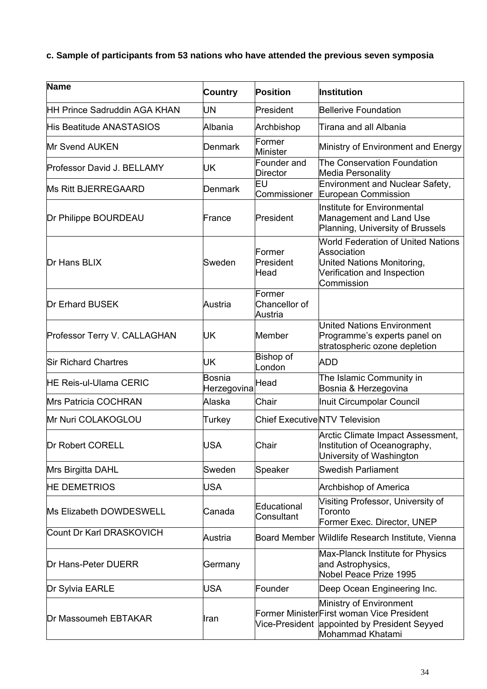**c. Sample of participants from 53 nations who have attended the previous seven symposia**

| Name                                | <b>Country</b>        | <b>Position</b>                       | Institution                                                                                                                         |
|-------------------------------------|-----------------------|---------------------------------------|-------------------------------------------------------------------------------------------------------------------------------------|
| <b>HH Prince Sadruddin AGA KHAN</b> | <b>UN</b>             | President                             | Bellerive Foundation                                                                                                                |
| His Beatitude ANASTASIOS            | Albania               | Archbishop                            | Tirana and all Albania                                                                                                              |
| Mr Svend AUKEN                      | Denmark               | Former<br><b>Minister</b>             | Ministry of Environment and Energy                                                                                                  |
| Professor David J. BELLAMY          | UK                    | Founder and<br>Director               | The Conservation Foundation<br><b>Media Personality</b>                                                                             |
| Ms Ritt BJERREGAARD                 | <b>Denmark</b>        | ΕU<br>Commissioner                    | <b>Environment and Nuclear Safety,</b><br>European Commission                                                                       |
| Dr Philippe BOURDEAU                | France                | President                             | Institute for Environmental<br>Management and Land Use<br>Planning, University of Brussels                                          |
| Dr Hans BLIX                        | Sweden                | Former<br>President<br>Head           | <b>World Federation of United Nations</b><br>Association<br>United Nations Monitoring,<br>Verification and Inspection<br>Commission |
| <b>Dr Erhard BUSEK</b>              | Austria               | Former<br>Chancellor of<br>Austria    |                                                                                                                                     |
| Professor Terry V. CALLAGHAN        | UK                    | <b>Member</b>                         | <b>United Nations Environment</b><br>Programme's experts panel on<br>stratospheric ozone depletion                                  |
| <b>Sir Richard Chartres</b>         | UK                    | Bishop of<br>_ondon                   | <b>ADD</b>                                                                                                                          |
| <b>HE Reis-ul-Ulama CERIC</b>       | Bosnia<br>Herzegovina | Head                                  | The Islamic Community in<br>Bosnia & Herzegovina                                                                                    |
| Mrs Patricia COCHRAN                | Alaska                | Chair                                 | Inuit Circumpolar Council                                                                                                           |
| Mr Nuri COLAKOGLOU                  | Turkey                | <b>Chief Executive NTV Television</b> |                                                                                                                                     |
| Dr Robert CORELL                    | <b>USA</b>            | Chair                                 | Arctic Climate Impact Assessment,<br>Institution of Oceanography,<br>University of Washington                                       |
| Mrs Birgitta DAHL                   | Sweden                | Speaker                               | <b>Swedish Parliament</b>                                                                                                           |
| <b>HE DEMETRIOS</b>                 | <b>USA</b>            |                                       | <b>Archbishop of America</b>                                                                                                        |
| Ms Elizabeth DOWDESWELL             | Canada                | Educational<br>Consultant             | Visiting Professor, University of<br>Toronto<br>Former Exec. Director, UNEP                                                         |
| Count Dr Karl DRASKOVICH            | Austria               | <b>Board Member</b>                   | Wildlife Research Institute, Vienna                                                                                                 |
| Dr Hans-Peter DUERR                 | Germany               |                                       | Max-Planck Institute for Physics<br>and Astrophysics,<br>Nobel Peace Prize 1995                                                     |
| Dr Sylvia EARLE                     | <b>USA</b>            | Founder                               | Deep Ocean Engineering Inc.                                                                                                         |
| Dr Massoumeh EBTAKAR                | Iran                  | Vice-President                        | Ministry of Environment<br>Former MinisterFirst woman Vice President<br>appointed by President Seyyed<br>Mohammad Khatami           |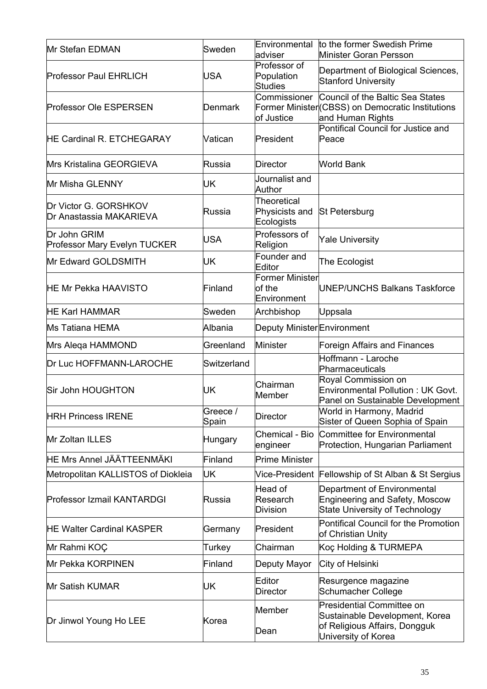| Mr Stefan EDMAN                                     | Sweden            | Environmental<br>adviser                           | to the former Swedish Prime<br>Minister Goran Persson                                                                      |
|-----------------------------------------------------|-------------------|----------------------------------------------------|----------------------------------------------------------------------------------------------------------------------------|
| <b>Professor Paul EHRLICH</b>                       | <b>USA</b>        | Professor of<br>Population<br>Studies              | Department of Biological Sciences,<br><b>Stanford University</b>                                                           |
| <b>Professor Ole ESPERSEN</b>                       | Denmark           | Commissioner<br>of Justice                         | Council of the Baltic Sea States<br>Former Minister (CBSS) on Democratic Institutions<br>and Human Rights                  |
| <b>HE Cardinal R. ETCHEGARAY</b>                    | Vatican           | President                                          | Pontifical Council for Justice and<br>Peace                                                                                |
| Mrs Kristalina GEORGIEVA                            | Russia            | <b>Director</b>                                    | <b>World Bank</b>                                                                                                          |
| Mr Misha GLENNY                                     | UK                | Journalist and<br>Author                           |                                                                                                                            |
| Dr Victor G. GORSHKOV<br>Dr Anastassia MAKARIEVA    | Russia            | <b>Theoretical</b><br>Physicists and<br>Ecologists | St Petersburg                                                                                                              |
| Dr John GRIM<br><b>Professor Mary Evelyn TUCKER</b> | <b>USA</b>        | Professors of<br>Religion                          | <b>Yale University</b>                                                                                                     |
| Mr Edward GOLDSMITH                                 | UK                | Founder and<br>Editor                              | The Ecologist                                                                                                              |
| <b>HE Mr Pekka HAAVISTO</b>                         | Finland           | <b>Former Minister</b><br>of the<br>Environment    | <b>UNEP/UNCHS Balkans Taskforce</b>                                                                                        |
| <b>HE Karl HAMMAR</b>                               | Sweden            | Archbishop                                         | Uppsala                                                                                                                    |
| Ms Tatiana HEMA                                     | Albania           | Deputy Minister Environment                        |                                                                                                                            |
| Mrs Aleqa HAMMOND                                   | Greenland         | Minister                                           | <b>Foreign Affairs and Finances</b>                                                                                        |
| Dr Luc HOFFMANN-LAROCHE                             | Switzerland       |                                                    | Hoffmann - Laroche<br>Pharmaceuticals                                                                                      |
| Sir John HOUGHTON                                   | UK                | Chairman<br><b>Member</b>                          | Royal Commission on<br>Environmental Pollution: UK Govt.<br>Panel on Sustainable Development                               |
| <b>HRH Princess IRENE</b>                           | Greece /<br>Spain | <b>Director</b>                                    | World in Harmony, Madrid<br>Sister of Queen Sophia of Spain                                                                |
| Mr Zoltan ILLES                                     | Hungary           | Chemical - Bio<br>engineer                         | Committee for Environmental<br>Protection, Hungarian Parliament                                                            |
| HE Mrs Annel JÄÄTTEENMÄKI                           | Finland           | <b>Prime Minister</b>                              |                                                                                                                            |
| Metropolitan KALLISTOS of Diokleia                  | <b>UK</b>         | Vice-President                                     | Fellowship of St Alban & St Sergius                                                                                        |
| Professor Izmail KANTARDGI                          | Russia            | Head of<br>Research<br><b>Division</b>             | Department of Environmental<br><b>Engineering and Safety, Moscow</b><br><b>State University of Technology</b>              |
| <b>HE Walter Cardinal KASPER</b>                    | Germany           | President                                          | Pontifical Council for the Promotion<br>of Christian Unity                                                                 |
| Mr Rahmi KOÇ                                        | Turkey            | Chairman                                           | Koç Holding & TURMEPA                                                                                                      |
| Mr Pekka KORPINEN                                   | Finland           | Deputy Mayor                                       | City of Helsinki                                                                                                           |
| Mr Satish KUMAR                                     | UK                | Editor<br>Director                                 | Resurgence magazine<br><b>Schumacher College</b>                                                                           |
| Dr Jinwol Young Ho LEE                              | Korea             | <b>Member</b><br>Dean                              | <b>Presidential Committee on</b><br>Sustainable Development, Korea<br>of Religious Affairs, Dongguk<br>University of Korea |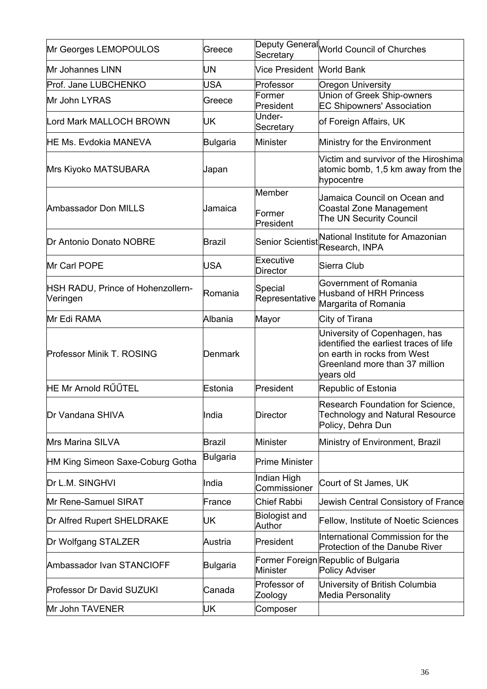| Mr Georges LEMOPOULOS                         | Greece          | Secretary                      | Deputy General World Council of Churches                                                                                                              |
|-----------------------------------------------|-----------------|--------------------------------|-------------------------------------------------------------------------------------------------------------------------------------------------------|
| Mr Johannes LINN                              | UN              | Vice President World Bank      |                                                                                                                                                       |
| Prof. Jane LUBCHENKO                          | <b>USA</b>      | Professor                      | <b>Oregon University</b>                                                                                                                              |
| Mr John LYRAS                                 | Greece          | Former<br>President            | Union of Greek Ship-owners<br><b>EC Shipowners' Association</b>                                                                                       |
| Lord Mark MALLOCH BROWN                       | UK              | Under-<br>Secretary            | of Foreign Affairs, UK                                                                                                                                |
| <b>HE Ms. Evdokia MANEVA</b>                  | <b>Bulgaria</b> | Minister                       | Ministry for the Environment                                                                                                                          |
| Mrs Kiyoko MATSUBARA                          | Japan           |                                | Victim and survivor of the Hiroshima<br>atomic bomb, 1,5 km away from the<br>hypocentre                                                               |
| Ambassador Don MILLS                          | Jamaica         | Member<br>Former<br>President  | Jamaica Council on Ocean and<br><b>Coastal Zone Management</b><br>The UN Security Council                                                             |
| Dr Antonio Donato NOBRE                       | <b>Brazil</b>   | <b>Senior Scientist</b>        | National Institute for Amazonian<br>Research, INPA                                                                                                    |
| Mr Carl POPE                                  | <b>USA</b>      | Executive<br><b>Director</b>   | Sierra Club                                                                                                                                           |
| HSH RADU, Prince of Hohenzollern-<br>Veringen | Romania         | Special<br>Representative      | Government of Romania<br><b>Husband of HRH Princess</b><br>Margarita of Romania                                                                       |
| Mr Edi RAMA                                   | Albania         | Mayor                          | City of Tirana                                                                                                                                        |
| Professor Minik T. ROSING                     | Denmark         |                                | University of Copenhagen, has<br>identified the earliest traces of life<br>on earth in rocks from West<br>Greenland more than 37 million<br>vears old |
| HE Mr Arnold RÜÜTEL                           | Estonia         | President                      | Republic of Estonia                                                                                                                                   |
| Dr Vandana SHIVA                              | India           | <b>Director</b>                | Research Foundation for Science,<br><b>Technology and Natural Resource</b><br>Policy, Dehra Dun                                                       |
| Mrs Marina SILVA                              | Brazil          | <b>Minister</b>                | Ministry of Environment, Brazil                                                                                                                       |
| HM King Simeon Saxe-Coburg Gotha              | <b>Bulgaria</b> | <b>Prime Minister</b>          |                                                                                                                                                       |
| Dr L.M. SINGHVI                               | India           | Indian High<br>Commissioner    | Court of St James, UK                                                                                                                                 |
| Mr Rene-Samuel SIRAT                          | France          | <b>Chief Rabbi</b>             | Jewish Central Consistory of France                                                                                                                   |
| Dr Alfred Rupert SHELDRAKE                    | UΚ              | <b>Biologist and</b><br>Author | <b>Fellow, Institute of Noetic Sciences</b>                                                                                                           |
| Dr Wolfgang STALZER                           | Austria         | President                      | International Commission for the<br><b>Protection of the Danube River</b>                                                                             |
| Ambassador Ivan STANCIOFF                     | <b>Bulgaria</b> | <b>Minister</b>                | Former Foreign Republic of Bulgaria<br>Policy Adviser                                                                                                 |
| Professor Dr David SUZUKI                     | Canada          | Professor of<br>Zoology        | University of British Columbia<br>Media Personality                                                                                                   |
| Mr John TAVENER                               | UK              | Composer                       |                                                                                                                                                       |